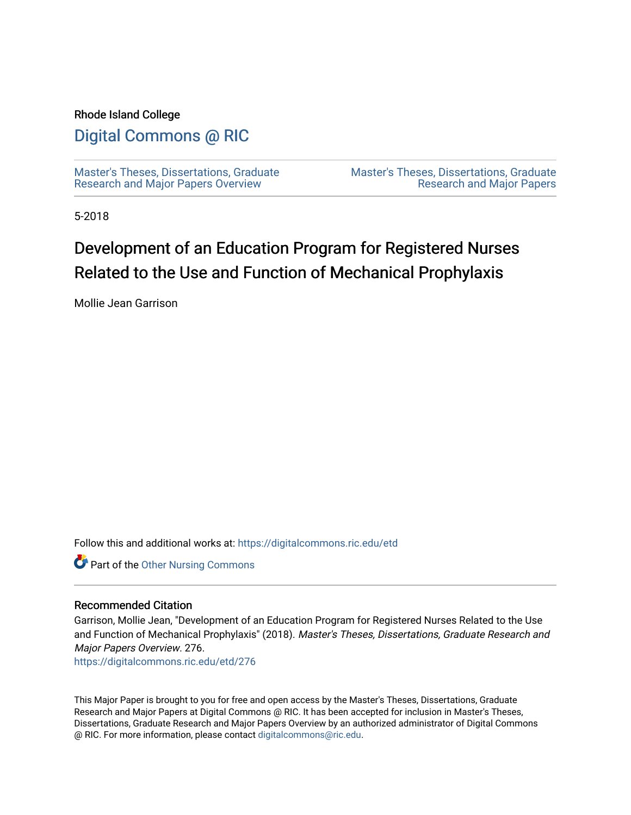#### Rhode Island College

## [Digital Commons @ RIC](https://digitalcommons.ric.edu/)

[Master's Theses, Dissertations, Graduate](https://digitalcommons.ric.edu/etd) [Research and Major Papers Overview](https://digitalcommons.ric.edu/etd) 

[Master's Theses, Dissertations, Graduate](https://digitalcommons.ric.edu/etds)  [Research and Major Papers](https://digitalcommons.ric.edu/etds) 

5-2018

## Development of an Education Program for Registered Nurses Related to the Use and Function of Mechanical Prophylaxis

Mollie Jean Garrison

Follow this and additional works at: [https://digitalcommons.ric.edu/etd](https://digitalcommons.ric.edu/etd?utm_source=digitalcommons.ric.edu%2Fetd%2F276&utm_medium=PDF&utm_campaign=PDFCoverPages)

Part of the [Other Nursing Commons](http://network.bepress.com/hgg/discipline/729?utm_source=digitalcommons.ric.edu%2Fetd%2F276&utm_medium=PDF&utm_campaign=PDFCoverPages)

#### Recommended Citation

Garrison, Mollie Jean, "Development of an Education Program for Registered Nurses Related to the Use and Function of Mechanical Prophylaxis" (2018). Master's Theses, Dissertations, Graduate Research and Major Papers Overview. 276.

[https://digitalcommons.ric.edu/etd/276](https://digitalcommons.ric.edu/etd/276?utm_source=digitalcommons.ric.edu%2Fetd%2F276&utm_medium=PDF&utm_campaign=PDFCoverPages) 

This Major Paper is brought to you for free and open access by the Master's Theses, Dissertations, Graduate Research and Major Papers at Digital Commons @ RIC. It has been accepted for inclusion in Master's Theses, Dissertations, Graduate Research and Major Papers Overview by an authorized administrator of Digital Commons @ RIC. For more information, please contact [digitalcommons@ric.edu.](mailto:digitalcommons@ric.edu)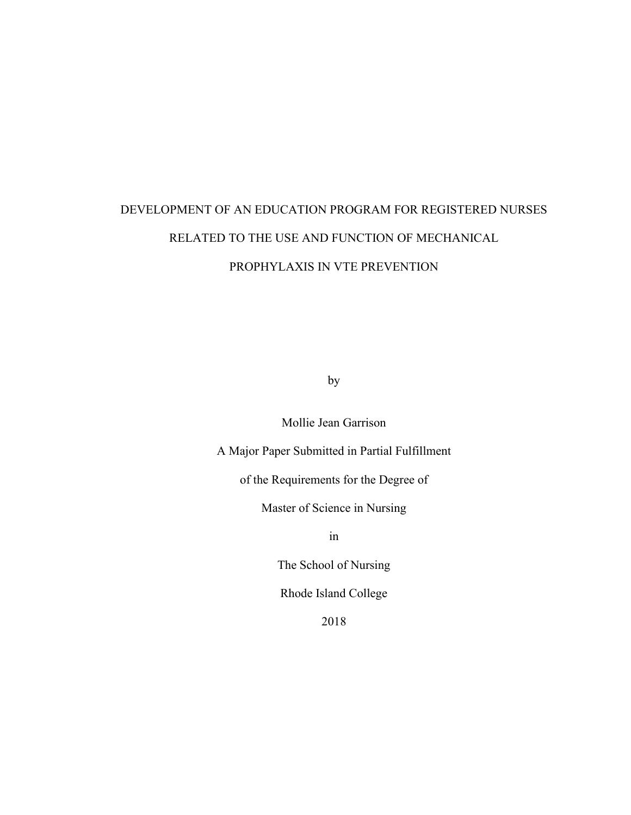# DEVELOPMENT OF AN EDUCATION PROGRAM FOR REGISTERED NURSES RELATED TO THE USE AND FUNCTION OF MECHANICAL PROPHYLAXIS IN VTE PREVENTION

by

Mollie Jean Garrison

A Major Paper Submitted in Partial Fulfillment

of the Requirements for the Degree of

Master of Science in Nursing

in

The School of Nursing

Rhode Island College

2018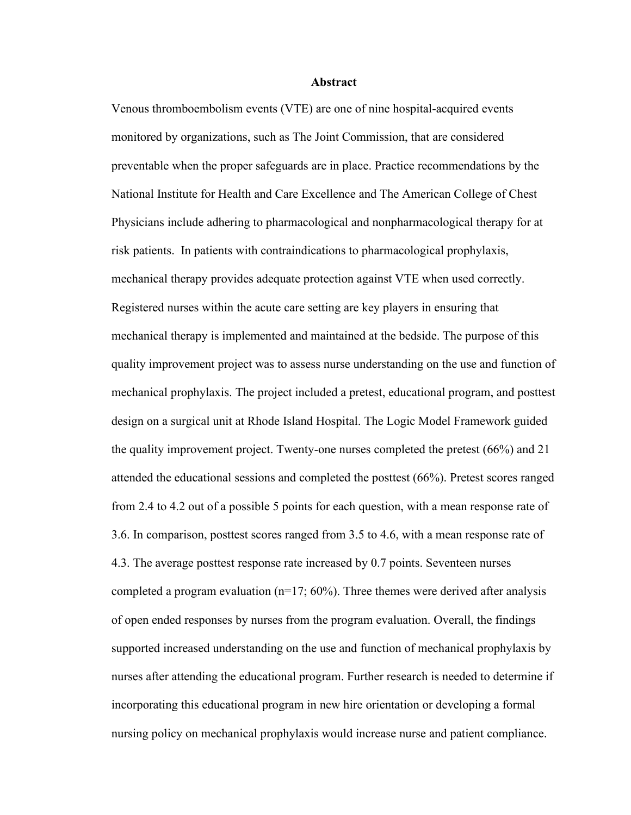#### **Abstract**

Venous thromboembolism events (VTE) are one of nine hospital-acquired events monitored by organizations, such as The Joint Commission, that are considered preventable when the proper safeguards are in place. Practice recommendations by the National Institute for Health and Care Excellence and The American College of Chest Physicians include adhering to pharmacological and nonpharmacological therapy for at risk patients. In patients with contraindications to pharmacological prophylaxis, mechanical therapy provides adequate protection against VTE when used correctly. Registered nurses within the acute care setting are key players in ensuring that mechanical therapy is implemented and maintained at the bedside. The purpose of this quality improvement project was to assess nurse understanding on the use and function of mechanical prophylaxis. The project included a pretest, educational program, and posttest design on a surgical unit at Rhode Island Hospital. The Logic Model Framework guided the quality improvement project. Twenty-one nurses completed the pretest (66%) and 21 attended the educational sessions and completed the posttest (66%). Pretest scores ranged from 2.4 to 4.2 out of a possible 5 points for each question, with a mean response rate of 3.6. In comparison, posttest scores ranged from 3.5 to 4.6, with a mean response rate of 4.3. The average posttest response rate increased by 0.7 points. Seventeen nurses completed a program evaluation  $(n=17; 60\%)$ . Three themes were derived after analysis of open ended responses by nurses from the program evaluation. Overall, the findings supported increased understanding on the use and function of mechanical prophylaxis by nurses after attending the educational program. Further research is needed to determine if incorporating this educational program in new hire orientation or developing a formal nursing policy on mechanical prophylaxis would increase nurse and patient compliance.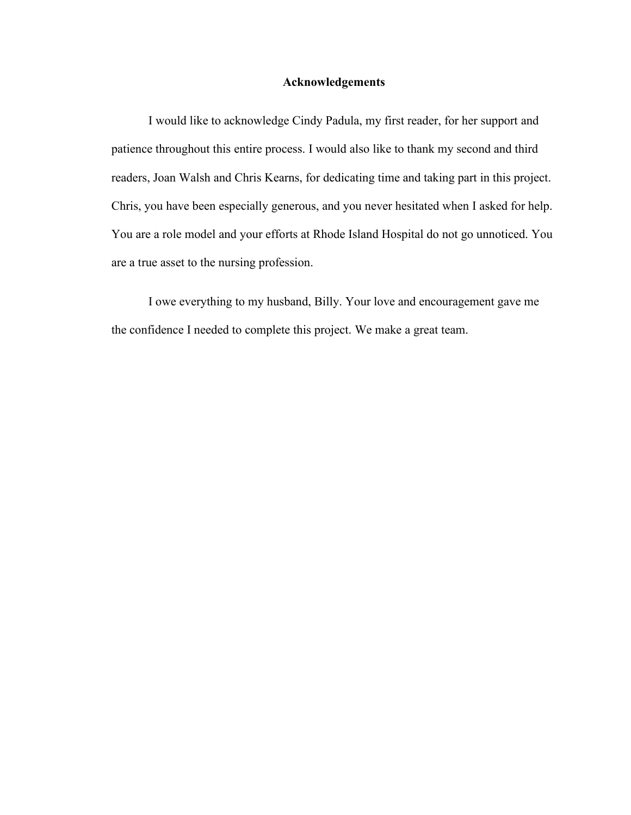#### **Acknowledgements**

I would like to acknowledge Cindy Padula, my first reader, for her support and patience throughout this entire process. I would also like to thank my second and third readers, Joan Walsh and Chris Kearns, for dedicating time and taking part in this project. Chris, you have been especially generous, and you never hesitated when I asked for help. You are a role model and your efforts at Rhode Island Hospital do not go unnoticed. You are a true asset to the nursing profession.

I owe everything to my husband, Billy. Your love and encouragement gave me the confidence I needed to complete this project. We make a great team.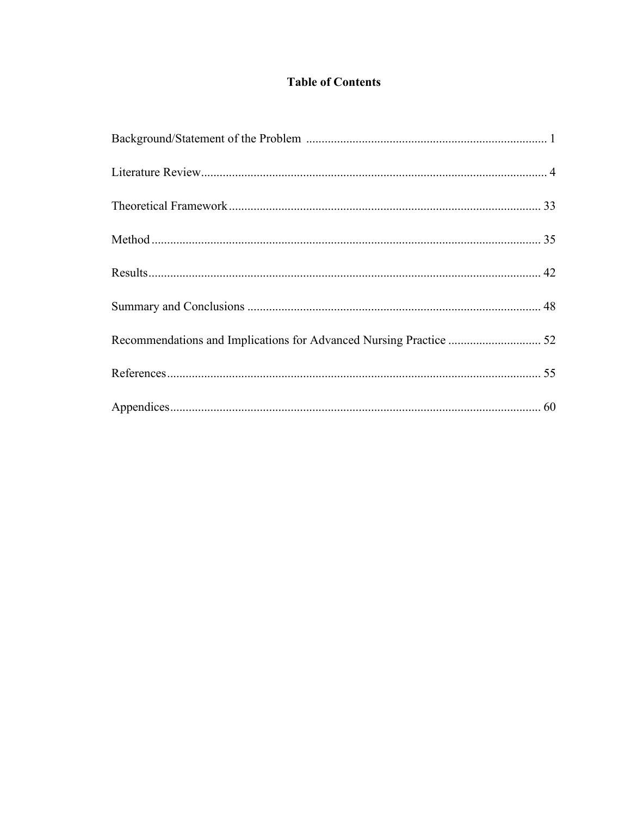## **Table of Contents**

| Recommendations and Implications for Advanced Nursing Practice  52 |  |
|--------------------------------------------------------------------|--|
|                                                                    |  |
|                                                                    |  |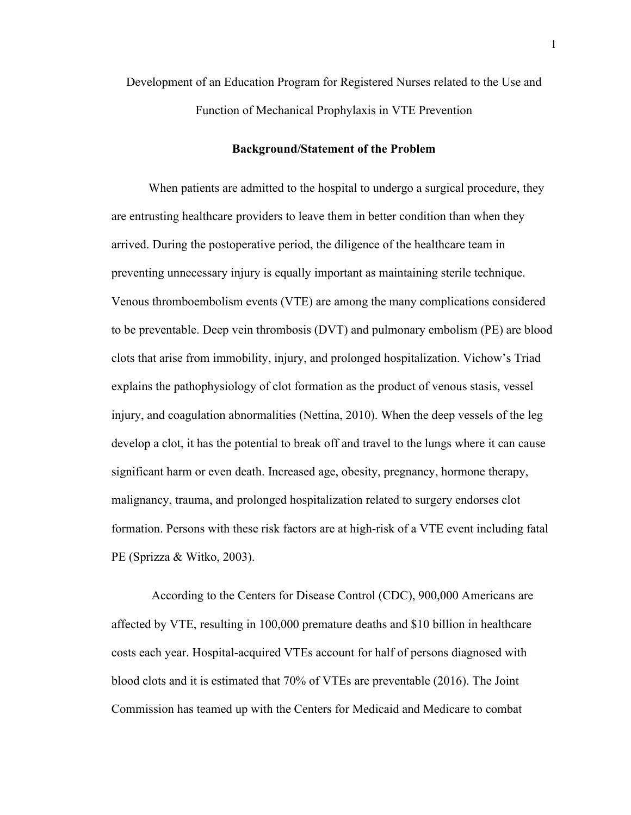Development of an Education Program for Registered Nurses related to the Use and Function of Mechanical Prophylaxis in VTE Prevention

#### **Background/Statement of the Problem**

When patients are admitted to the hospital to undergo a surgical procedure, they are entrusting healthcare providers to leave them in better condition than when they arrived. During the postoperative period, the diligence of the healthcare team in preventing unnecessary injury is equally important as maintaining sterile technique. Venous thromboembolism events (VTE) are among the many complications considered to be preventable. Deep vein thrombosis (DVT) and pulmonary embolism (PE) are blood clots that arise from immobility, injury, and prolonged hospitalization. Vichow's Triad explains the pathophysiology of clot formation as the product of venous stasis, vessel injury, and coagulation abnormalities (Nettina, 2010). When the deep vessels of the leg develop a clot, it has the potential to break off and travel to the lungs where it can cause significant harm or even death. Increased age, obesity, pregnancy, hormone therapy, malignancy, trauma, and prolonged hospitalization related to surgery endorses clot formation. Persons with these risk factors are at high-risk of a VTE event including fatal PE (Sprizza & Witko, 2003).

According to the Centers for Disease Control (CDC), 900,000 Americans are affected by VTE, resulting in 100,000 premature deaths and \$10 billion in healthcare costs each year. Hospital-acquired VTEs account for half of persons diagnosed with blood clots and it is estimated that 70% of VTEs are preventable (2016). The Joint Commission has teamed up with the Centers for Medicaid and Medicare to combat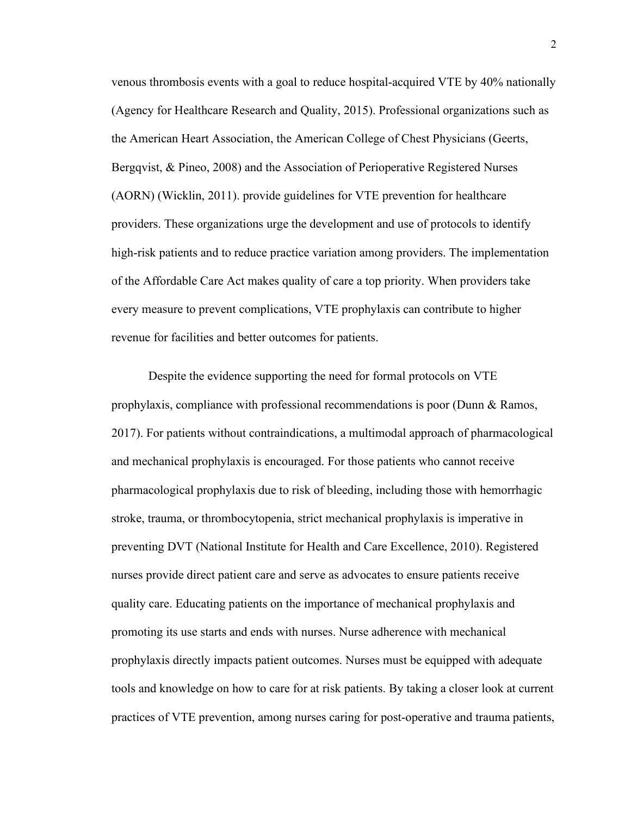venous thrombosis events with a goal to reduce hospital-acquired VTE by 40% nationally (Agency for Healthcare Research and Quality, 2015). Professional organizations such as the American Heart Association, the American College of Chest Physicians (Geerts, Bergqvist, & Pineo, 2008) and the Association of Perioperative Registered Nurses (AORN) (Wicklin, 2011). provide guidelines for VTE prevention for healthcare providers. These organizations urge the development and use of protocols to identify high-risk patients and to reduce practice variation among providers. The implementation of the Affordable Care Act makes quality of care a top priority. When providers take every measure to prevent complications, VTE prophylaxis can contribute to higher revenue for facilities and better outcomes for patients.

Despite the evidence supporting the need for formal protocols on VTE prophylaxis, compliance with professional recommendations is poor (Dunn & Ramos, 2017). For patients without contraindications, a multimodal approach of pharmacological and mechanical prophylaxis is encouraged. For those patients who cannot receive pharmacological prophylaxis due to risk of bleeding, including those with hemorrhagic stroke, trauma, or thrombocytopenia, strict mechanical prophylaxis is imperative in preventing DVT (National Institute for Health and Care Excellence, 2010). Registered nurses provide direct patient care and serve as advocates to ensure patients receive quality care. Educating patients on the importance of mechanical prophylaxis and promoting its use starts and ends with nurses. Nurse adherence with mechanical prophylaxis directly impacts patient outcomes. Nurses must be equipped with adequate tools and knowledge on how to care for at risk patients. By taking a closer look at current practices of VTE prevention, among nurses caring for post-operative and trauma patients,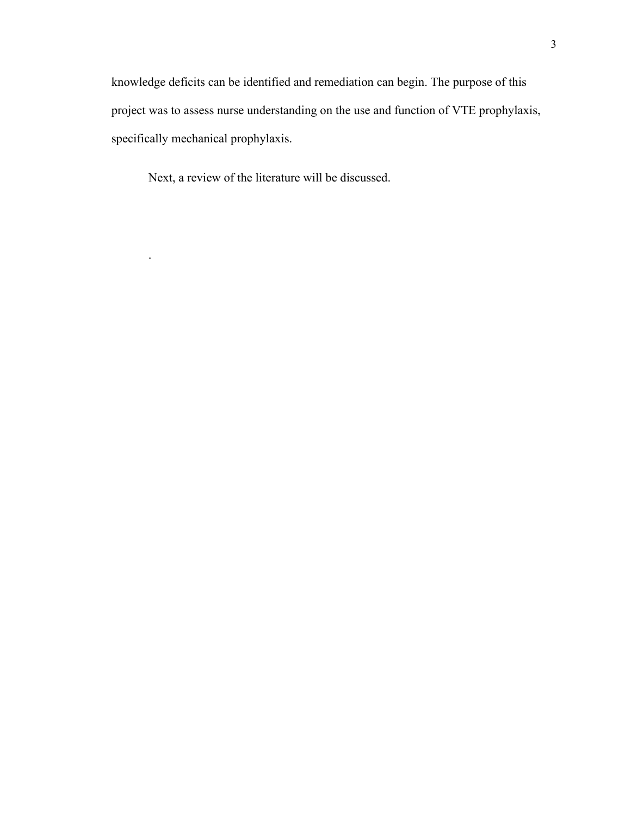knowledge deficits can be identified and remediation can begin. The purpose of this project was to assess nurse understanding on the use and function of VTE prophylaxis, specifically mechanical prophylaxis.

Next, a review of the literature will be discussed.

.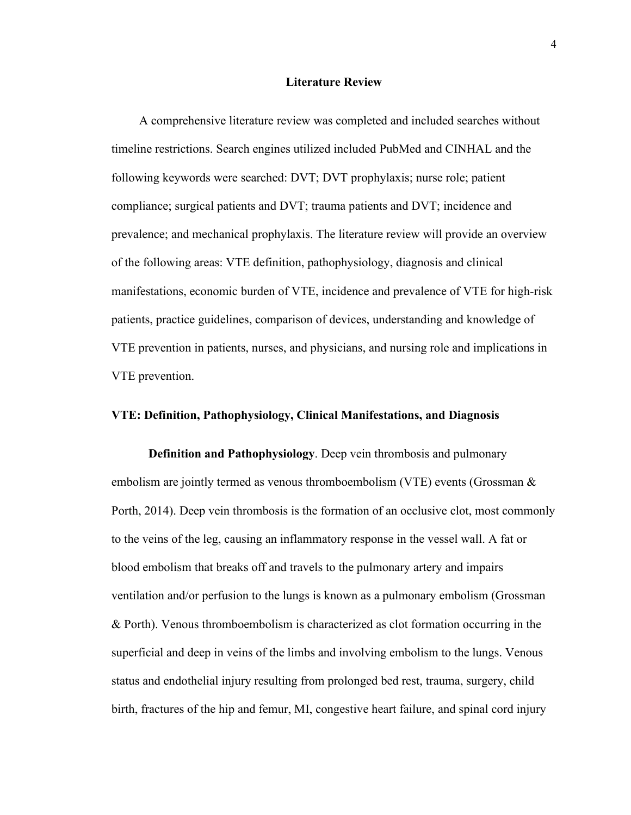#### **Literature Review**

 A comprehensive literature review was completed and included searches without timeline restrictions. Search engines utilized included PubMed and CINHAL and the following keywords were searched: DVT; DVT prophylaxis; nurse role; patient compliance; surgical patients and DVT; trauma patients and DVT; incidence and prevalence; and mechanical prophylaxis. The literature review will provide an overview of the following areas: VTE definition, pathophysiology, diagnosis and clinical manifestations, economic burden of VTE, incidence and prevalence of VTE for high-risk patients, practice guidelines, comparison of devices, understanding and knowledge of VTE prevention in patients, nurses, and physicians, and nursing role and implications in VTE prevention.

#### **VTE: Definition, Pathophysiology, Clinical Manifestations, and Diagnosis**

**Definition and Pathophysiology**. Deep vein thrombosis and pulmonary embolism are jointly termed as venous thromboembolism (VTE) events (Grossman & Porth, 2014). Deep vein thrombosis is the formation of an occlusive clot, most commonly to the veins of the leg, causing an inflammatory response in the vessel wall. A fat or blood embolism that breaks off and travels to the pulmonary artery and impairs ventilation and/or perfusion to the lungs is known as a pulmonary embolism (Grossman & Porth). Venous thromboembolism is characterized as clot formation occurring in the superficial and deep in veins of the limbs and involving embolism to the lungs. Venous status and endothelial injury resulting from prolonged bed rest, trauma, surgery, child birth, fractures of the hip and femur, MI, congestive heart failure, and spinal cord injury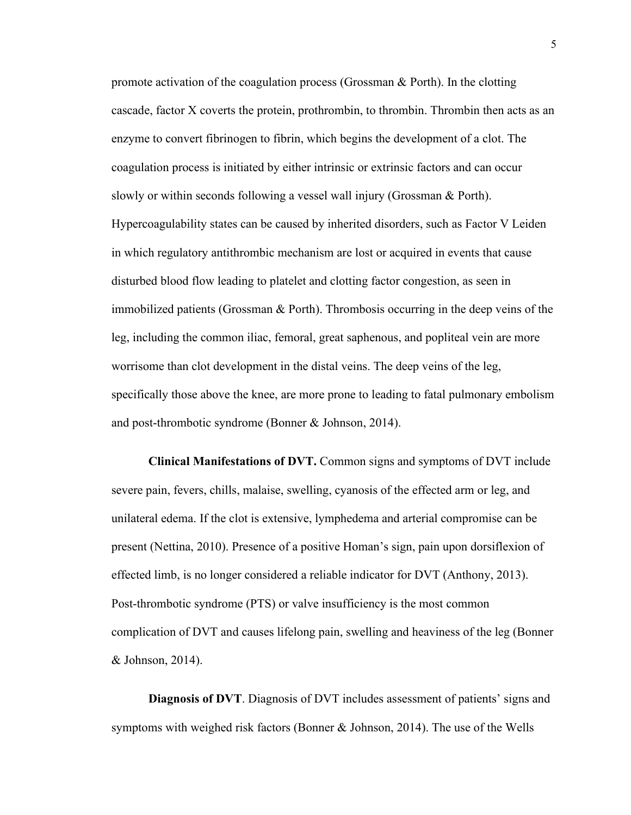promote activation of the coagulation process (Grossman & Porth). In the clotting cascade, factor X coverts the protein, prothrombin, to thrombin. Thrombin then acts as an enzyme to convert fibrinogen to fibrin, which begins the development of a clot. The coagulation process is initiated by either intrinsic or extrinsic factors and can occur slowly or within seconds following a vessel wall injury (Grossman & Porth). Hypercoagulability states can be caused by inherited disorders, such as Factor V Leiden in which regulatory antithrombic mechanism are lost or acquired in events that cause disturbed blood flow leading to platelet and clotting factor congestion, as seen in immobilized patients (Grossman & Porth). Thrombosis occurring in the deep veins of the leg, including the common iliac, femoral, great saphenous, and popliteal vein are more worrisome than clot development in the distal veins. The deep veins of the leg, specifically those above the knee, are more prone to leading to fatal pulmonary embolism and post-thrombotic syndrome (Bonner & Johnson, 2014).

**Clinical Manifestations of DVT.** Common signs and symptoms of DVT include severe pain, fevers, chills, malaise, swelling, cyanosis of the effected arm or leg, and unilateral edema. If the clot is extensive, lymphedema and arterial compromise can be present (Nettina, 2010). Presence of a positive Homan's sign, pain upon dorsiflexion of effected limb, is no longer considered a reliable indicator for DVT (Anthony, 2013). Post-thrombotic syndrome (PTS) or valve insufficiency is the most common complication of DVT and causes lifelong pain, swelling and heaviness of the leg (Bonner & Johnson, 2014).

**Diagnosis of DVT**. Diagnosis of DVT includes assessment of patients' signs and symptoms with weighed risk factors (Bonner  $\&$  Johnson, 2014). The use of the Wells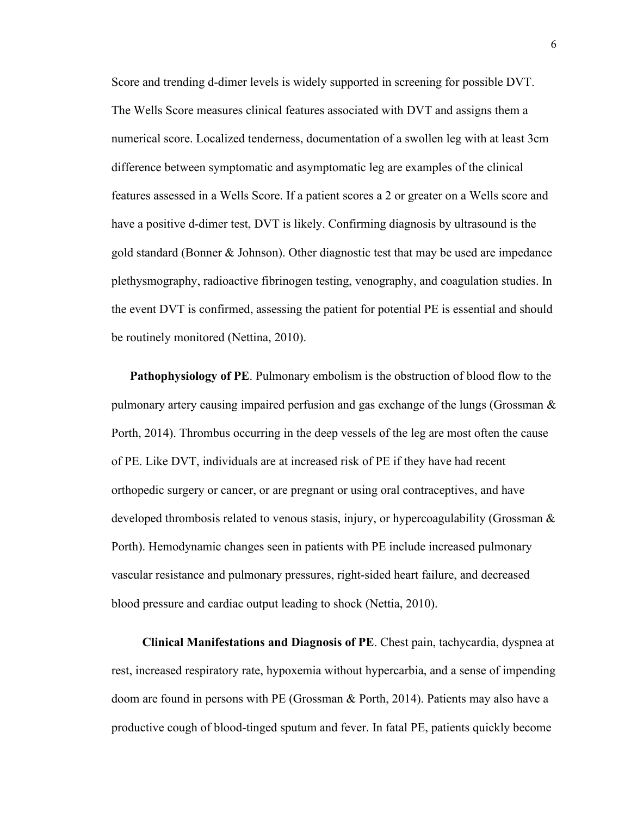Score and trending d-dimer levels is widely supported in screening for possible DVT. The Wells Score measures clinical features associated with DVT and assigns them a numerical score. Localized tenderness, documentation of a swollen leg with at least 3cm difference between symptomatic and asymptomatic leg are examples of the clinical features assessed in a Wells Score. If a patient scores a 2 or greater on a Wells score and have a positive d-dimer test, DVT is likely. Confirming diagnosis by ultrasound is the gold standard (Bonner & Johnson). Other diagnostic test that may be used are impedance plethysmography, radioactive fibrinogen testing, venography, and coagulation studies. In the event DVT is confirmed, assessing the patient for potential PE is essential and should be routinely monitored (Nettina, 2010).

 **Pathophysiology of PE**. Pulmonary embolism is the obstruction of blood flow to the pulmonary artery causing impaired perfusion and gas exchange of the lungs (Grossman & Porth, 2014). Thrombus occurring in the deep vessels of the leg are most often the cause of PE. Like DVT, individuals are at increased risk of PE if they have had recent orthopedic surgery or cancer, or are pregnant or using oral contraceptives, and have developed thrombosis related to venous stasis, injury, or hypercoagulability (Grossman  $\&$ Porth). Hemodynamic changes seen in patients with PE include increased pulmonary vascular resistance and pulmonary pressures, right-sided heart failure, and decreased blood pressure and cardiac output leading to shock (Nettia, 2010).

 **Clinical Manifestations and Diagnosis of PE**. Chest pain, tachycardia, dyspnea at rest, increased respiratory rate, hypoxemia without hypercarbia, and a sense of impending doom are found in persons with PE (Grossman & Porth, 2014). Patients may also have a productive cough of blood-tinged sputum and fever. In fatal PE, patients quickly become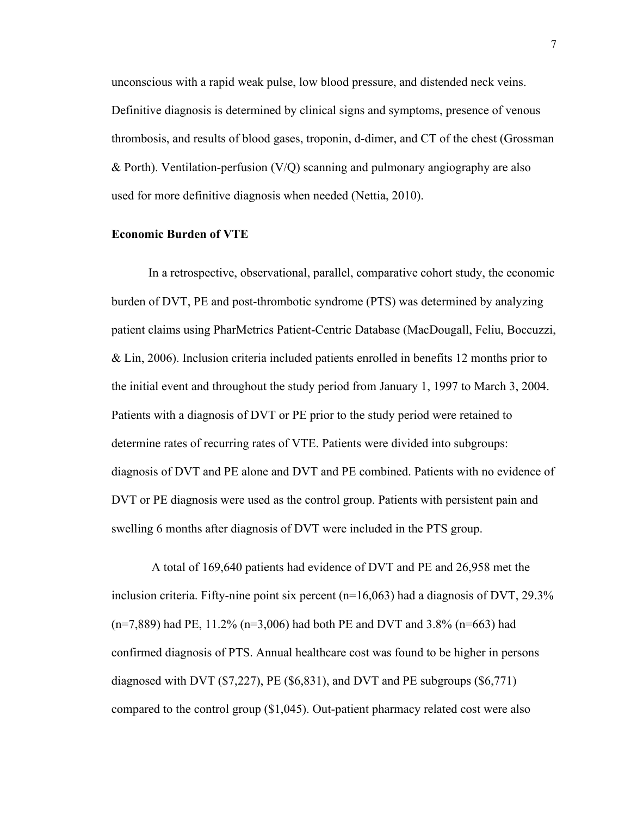unconscious with a rapid weak pulse, low blood pressure, and distended neck veins. Definitive diagnosis is determined by clinical signs and symptoms, presence of venous thrombosis, and results of blood gases, troponin, d-dimer, and CT of the chest (Grossman & Porth). Ventilation-perfusion (V/Q) scanning and pulmonary angiography are also used for more definitive diagnosis when needed (Nettia, 2010).

#### **Economic Burden of VTE**

In a retrospective, observational, parallel, comparative cohort study, the economic burden of DVT, PE and post-thrombotic syndrome (PTS) was determined by analyzing patient claims using PharMetrics Patient-Centric Database (MacDougall, Feliu, Boccuzzi, & Lin, 2006). Inclusion criteria included patients enrolled in benefits 12 months prior to the initial event and throughout the study period from January 1, 1997 to March 3, 2004. Patients with a diagnosis of DVT or PE prior to the study period were retained to determine rates of recurring rates of VTE. Patients were divided into subgroups: diagnosis of DVT and PE alone and DVT and PE combined. Patients with no evidence of DVT or PE diagnosis were used as the control group. Patients with persistent pain and swelling 6 months after diagnosis of DVT were included in the PTS group.

A total of 169,640 patients had evidence of DVT and PE and 26,958 met the inclusion criteria. Fifty-nine point six percent  $(n=16,063)$  had a diagnosis of DVT, 29.3%  $(n=7,889)$  had PE, 11.2%  $(n=3,006)$  had both PE and DVT and 3.8%  $(n=663)$  had confirmed diagnosis of PTS. Annual healthcare cost was found to be higher in persons diagnosed with DVT ( $$7,227$ ), PE ( $$6,831$ ), and DVT and PE subgroups ( $$6,771$ ) compared to the control group (\$1,045). Out-patient pharmacy related cost were also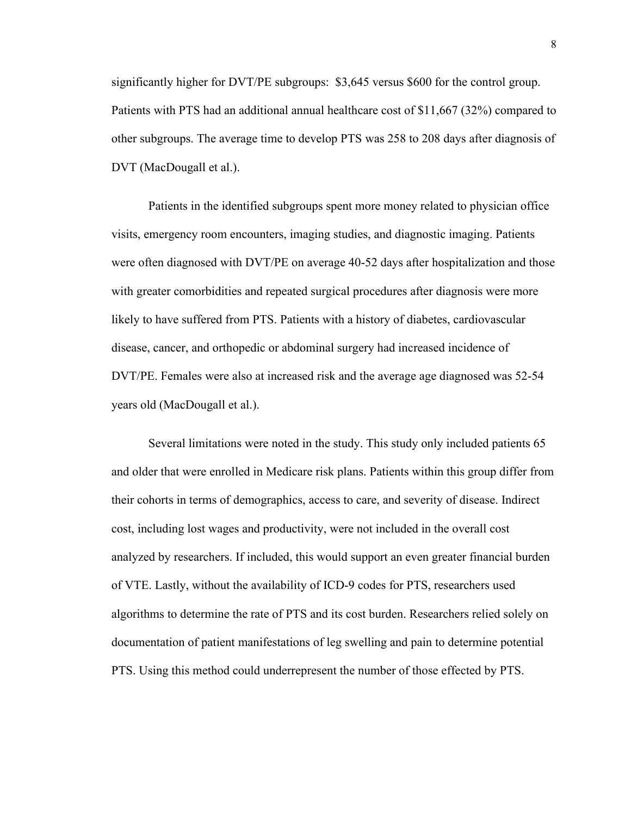significantly higher for DVT/PE subgroups: \$3,645 versus \$600 for the control group. Patients with PTS had an additional annual healthcare cost of \$11,667 (32%) compared to other subgroups. The average time to develop PTS was 258 to 208 days after diagnosis of DVT (MacDougall et al.).

Patients in the identified subgroups spent more money related to physician office visits, emergency room encounters, imaging studies, and diagnostic imaging. Patients were often diagnosed with DVT/PE on average 40-52 days after hospitalization and those with greater comorbidities and repeated surgical procedures after diagnosis were more likely to have suffered from PTS. Patients with a history of diabetes, cardiovascular disease, cancer, and orthopedic or abdominal surgery had increased incidence of DVT/PE. Females were also at increased risk and the average age diagnosed was 52-54 years old (MacDougall et al.).

Several limitations were noted in the study. This study only included patients 65 and older that were enrolled in Medicare risk plans. Patients within this group differ from their cohorts in terms of demographics, access to care, and severity of disease. Indirect cost, including lost wages and productivity, were not included in the overall cost analyzed by researchers. If included, this would support an even greater financial burden of VTE. Lastly, without the availability of ICD-9 codes for PTS, researchers used algorithms to determine the rate of PTS and its cost burden. Researchers relied solely on documentation of patient manifestations of leg swelling and pain to determine potential PTS. Using this method could underrepresent the number of those effected by PTS.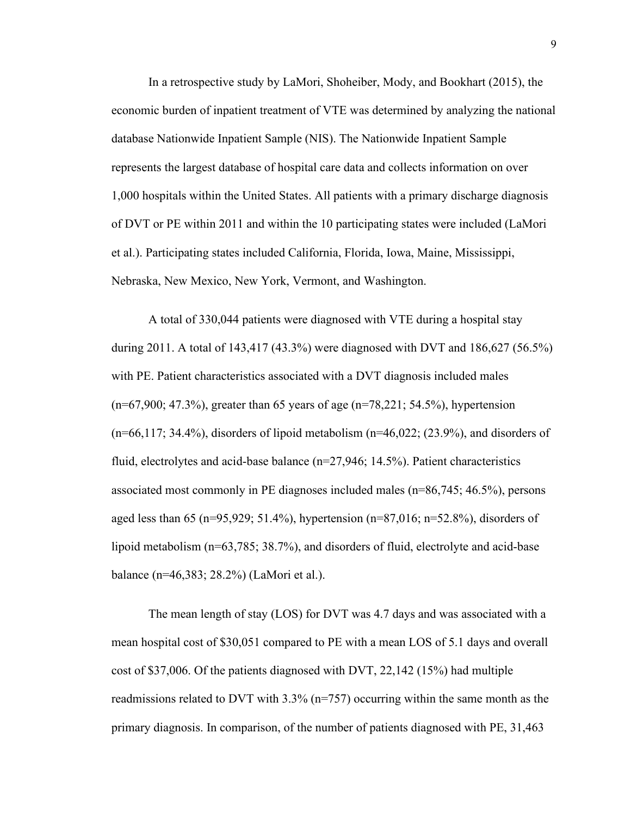In a retrospective study by LaMori, Shoheiber, Mody, and Bookhart (2015), the economic burden of inpatient treatment of VTE was determined by analyzing the national database Nationwide Inpatient Sample (NIS). The Nationwide Inpatient Sample represents the largest database of hospital care data and collects information on over 1,000 hospitals within the United States. All patients with a primary discharge diagnosis of DVT or PE within 2011 and within the 10 participating states were included (LaMori et al.). Participating states included California, Florida, Iowa, Maine, Mississippi, Nebraska, New Mexico, New York, Vermont, and Washington.

A total of 330,044 patients were diagnosed with VTE during a hospital stay during 2011. A total of 143,417 (43.3%) were diagnosed with DVT and 186,627 (56.5%) with PE. Patient characteristics associated with a DVT diagnosis included males (n=67,900; 47.3%), greater than 65 years of age (n=78,221; 54.5%), hypertension  $(n=66,117; 34.4\%)$ , disorders of lipoid metabolism  $(n=46,022; (23.9\%)$ , and disorders of fluid, electrolytes and acid-base balance (n=27,946; 14.5%). Patient characteristics associated most commonly in PE diagnoses included males (n=86,745; 46.5%), persons aged less than 65 (n=95,929; 51.4%), hypertension (n=87,016; n=52.8%), disorders of lipoid metabolism (n=63,785; 38.7%), and disorders of fluid, electrolyte and acid-base balance (n=46,383; 28.2%) (LaMori et al.).

The mean length of stay (LOS) for DVT was 4.7 days and was associated with a mean hospital cost of \$30,051 compared to PE with a mean LOS of 5.1 days and overall cost of \$37,006. Of the patients diagnosed with DVT, 22,142 (15%) had multiple readmissions related to DVT with 3.3% (n=757) occurring within the same month as the primary diagnosis. In comparison, of the number of patients diagnosed with PE, 31,463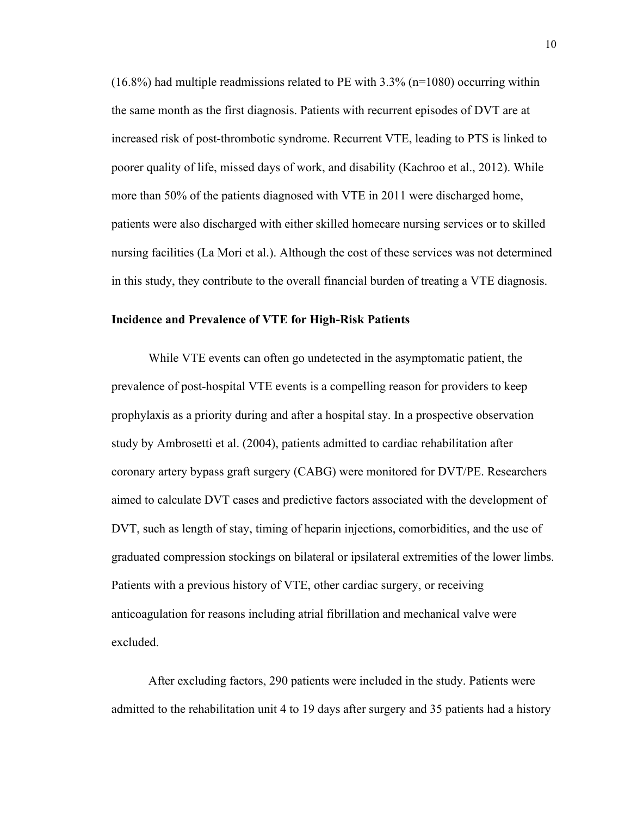$(16.8\%)$  had multiple readmissions related to PE with 3.3% (n=1080) occurring within the same month as the first diagnosis. Patients with recurrent episodes of DVT are at increased risk of post-thrombotic syndrome. Recurrent VTE, leading to PTS is linked to poorer quality of life, missed days of work, and disability (Kachroo et al., 2012). While more than 50% of the patients diagnosed with VTE in 2011 were discharged home, patients were also discharged with either skilled homecare nursing services or to skilled nursing facilities (La Mori et al.). Although the cost of these services was not determined in this study, they contribute to the overall financial burden of treating a VTE diagnosis.

#### **Incidence and Prevalence of VTE for High-Risk Patients**

While VTE events can often go undetected in the asymptomatic patient, the prevalence of post-hospital VTE events is a compelling reason for providers to keep prophylaxis as a priority during and after a hospital stay. In a prospective observation study by Ambrosetti et al. (2004), patients admitted to cardiac rehabilitation after coronary artery bypass graft surgery (CABG) were monitored for DVT/PE. Researchers aimed to calculate DVT cases and predictive factors associated with the development of DVT, such as length of stay, timing of heparin injections, comorbidities, and the use of graduated compression stockings on bilateral or ipsilateral extremities of the lower limbs. Patients with a previous history of VTE, other cardiac surgery, or receiving anticoagulation for reasons including atrial fibrillation and mechanical valve were excluded.

After excluding factors, 290 patients were included in the study. Patients were admitted to the rehabilitation unit 4 to 19 days after surgery and 35 patients had a history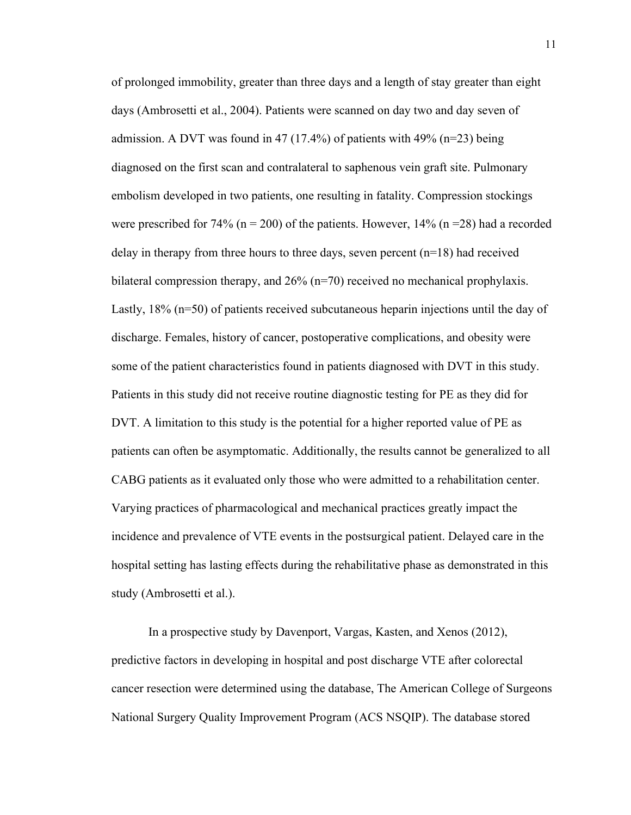of prolonged immobility, greater than three days and a length of stay greater than eight days (Ambrosetti et al., 2004). Patients were scanned on day two and day seven of admission. A DVT was found in 47 (17.4%) of patients with 49% ( $n=23$ ) being diagnosed on the first scan and contralateral to saphenous vein graft site. Pulmonary embolism developed in two patients, one resulting in fatality. Compression stockings were prescribed for 74% ( $n = 200$ ) of the patients. However, 14% ( $n = 28$ ) had a recorded delay in therapy from three hours to three days, seven percent (n=18) had received bilateral compression therapy, and 26% (n=70) received no mechanical prophylaxis. Lastly, 18% (n=50) of patients received subcutaneous heparin injections until the day of discharge. Females, history of cancer, postoperative complications, and obesity were some of the patient characteristics found in patients diagnosed with DVT in this study. Patients in this study did not receive routine diagnostic testing for PE as they did for DVT. A limitation to this study is the potential for a higher reported value of PE as patients can often be asymptomatic. Additionally, the results cannot be generalized to all CABG patients as it evaluated only those who were admitted to a rehabilitation center. Varying practices of pharmacological and mechanical practices greatly impact the incidence and prevalence of VTE events in the postsurgical patient. Delayed care in the hospital setting has lasting effects during the rehabilitative phase as demonstrated in this study (Ambrosetti et al.).

In a prospective study by Davenport, Vargas, Kasten, and Xenos (2012), predictive factors in developing in hospital and post discharge VTE after colorectal cancer resection were determined using the database, The American College of Surgeons National Surgery Quality Improvement Program (ACS NSQIP). The database stored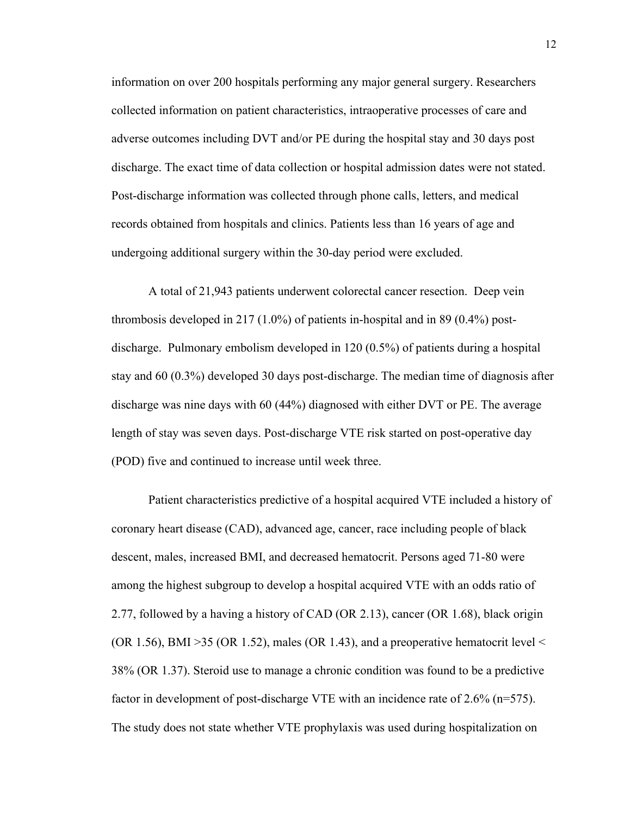information on over 200 hospitals performing any major general surgery. Researchers collected information on patient characteristics, intraoperative processes of care and adverse outcomes including DVT and/or PE during the hospital stay and 30 days post discharge. The exact time of data collection or hospital admission dates were not stated. Post-discharge information was collected through phone calls, letters, and medical records obtained from hospitals and clinics. Patients less than 16 years of age and undergoing additional surgery within the 30-day period were excluded.

A total of 21,943 patients underwent colorectal cancer resection. Deep vein thrombosis developed in 217 (1.0%) of patients in-hospital and in 89 (0.4%) postdischarge. Pulmonary embolism developed in 120 (0.5%) of patients during a hospital stay and 60 (0.3%) developed 30 days post-discharge. The median time of diagnosis after discharge was nine days with 60 (44%) diagnosed with either DVT or PE. The average length of stay was seven days. Post-discharge VTE risk started on post-operative day (POD) five and continued to increase until week three.

Patient characteristics predictive of a hospital acquired VTE included a history of coronary heart disease (CAD), advanced age, cancer, race including people of black descent, males, increased BMI, and decreased hematocrit. Persons aged 71-80 were among the highest subgroup to develop a hospital acquired VTE with an odds ratio of 2.77, followed by a having a history of CAD (OR 2.13), cancer (OR 1.68), black origin (OR 1.56), BMI > 35 (OR 1.52), males (OR 1.43), and a preoperative hematocrit level  $\leq$ 38% (OR 1.37). Steroid use to manage a chronic condition was found to be a predictive factor in development of post-discharge VTE with an incidence rate of 2.6% (n=575). The study does not state whether VTE prophylaxis was used during hospitalization on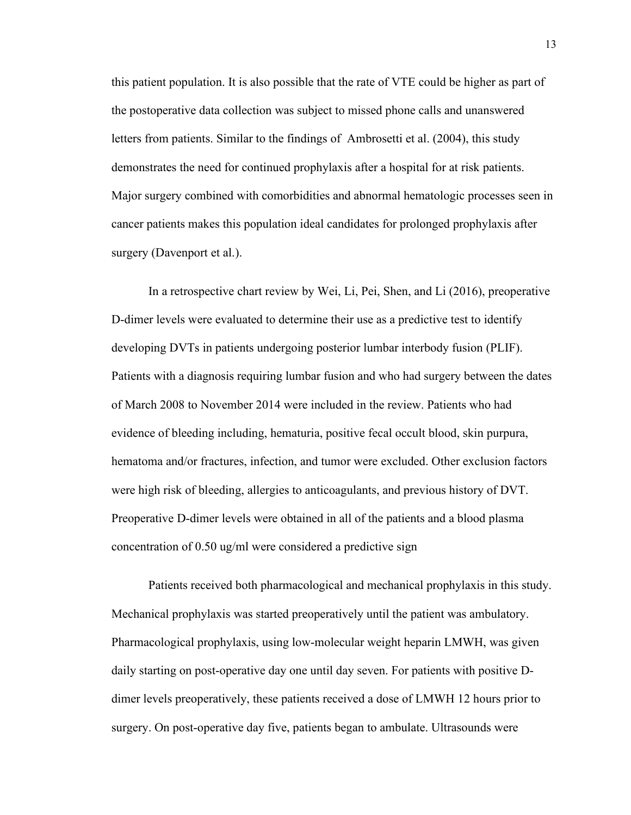this patient population. It is also possible that the rate of VTE could be higher as part of the postoperative data collection was subject to missed phone calls and unanswered letters from patients. Similar to the findings of Ambrosetti et al. (2004), this study demonstrates the need for continued prophylaxis after a hospital for at risk patients. Major surgery combined with comorbidities and abnormal hematologic processes seen in cancer patients makes this population ideal candidates for prolonged prophylaxis after surgery (Davenport et al.).

In a retrospective chart review by Wei, Li, Pei, Shen, and Li (2016), preoperative D-dimer levels were evaluated to determine their use as a predictive test to identify developing DVTs in patients undergoing posterior lumbar interbody fusion (PLIF). Patients with a diagnosis requiring lumbar fusion and who had surgery between the dates of March 2008 to November 2014 were included in the review. Patients who had evidence of bleeding including, hematuria, positive fecal occult blood, skin purpura, hematoma and/or fractures, infection, and tumor were excluded. Other exclusion factors were high risk of bleeding, allergies to anticoagulants, and previous history of DVT. Preoperative D-dimer levels were obtained in all of the patients and a blood plasma concentration of 0.50 ug/ml were considered a predictive sign

Patients received both pharmacological and mechanical prophylaxis in this study. Mechanical prophylaxis was started preoperatively until the patient was ambulatory. Pharmacological prophylaxis, using low-molecular weight heparin LMWH, was given daily starting on post-operative day one until day seven. For patients with positive Ddimer levels preoperatively, these patients received a dose of LMWH 12 hours prior to surgery. On post-operative day five, patients began to ambulate. Ultrasounds were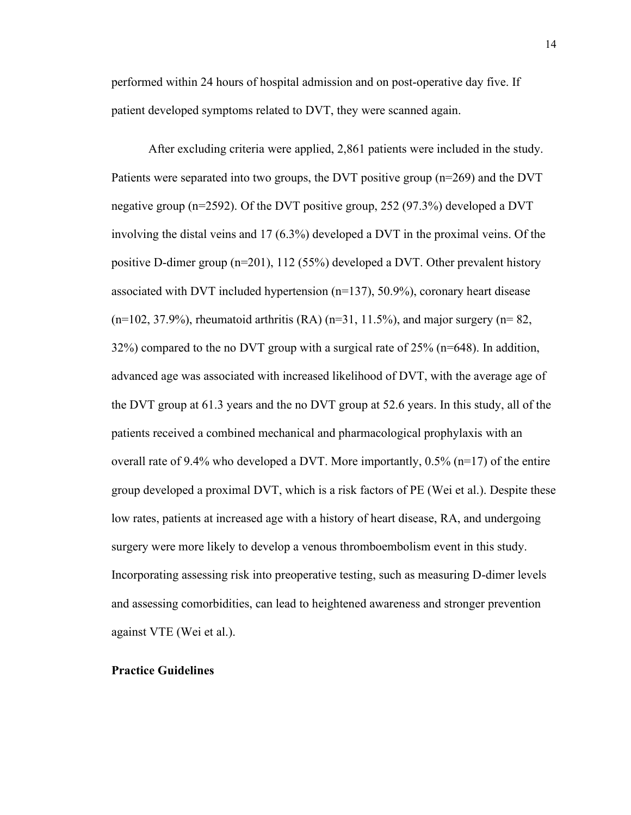performed within 24 hours of hospital admission and on post-operative day five. If patient developed symptoms related to DVT, they were scanned again.

After excluding criteria were applied, 2,861 patients were included in the study. Patients were separated into two groups, the DVT positive group (n=269) and the DVT negative group (n=2592). Of the DVT positive group, 252 (97.3%) developed a DVT involving the distal veins and 17 (6.3%) developed a DVT in the proximal veins. Of the positive D-dimer group (n=201), 112 (55%) developed a DVT. Other prevalent history associated with DVT included hypertension (n=137), 50.9%), coronary heart disease  $(n=102, 37.9\%)$ , rheumatoid arthritis (RA)  $(n=31, 11.5\%)$ , and major surgery  $(n=82, 11.5\%)$ 32%) compared to the no DVT group with a surgical rate of 25% (n=648). In addition, advanced age was associated with increased likelihood of DVT, with the average age of the DVT group at 61.3 years and the no DVT group at 52.6 years. In this study, all of the patients received a combined mechanical and pharmacological prophylaxis with an overall rate of 9.4% who developed a DVT. More importantly,  $0.5\%$  (n=17) of the entire group developed a proximal DVT, which is a risk factors of PE (Wei et al.). Despite these low rates, patients at increased age with a history of heart disease, RA, and undergoing surgery were more likely to develop a venous thromboembolism event in this study. Incorporating assessing risk into preoperative testing, such as measuring D-dimer levels and assessing comorbidities, can lead to heightened awareness and stronger prevention against VTE (Wei et al.).

#### **Practice Guidelines**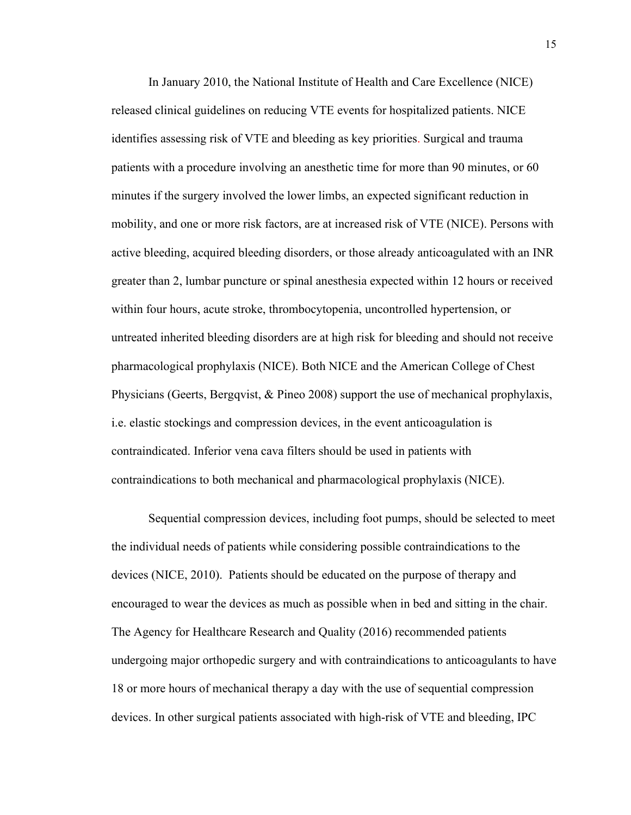In January 2010, the National Institute of Health and Care Excellence (NICE) released clinical guidelines on reducing VTE events for hospitalized patients. NICE identifies assessing risk of VTE and bleeding as key priorities. Surgical and trauma patients with a procedure involving an anesthetic time for more than 90 minutes, or 60 minutes if the surgery involved the lower limbs, an expected significant reduction in mobility, and one or more risk factors, are at increased risk of VTE (NICE). Persons with active bleeding, acquired bleeding disorders, or those already anticoagulated with an INR greater than 2, lumbar puncture or spinal anesthesia expected within 12 hours or received within four hours, acute stroke, thrombocytopenia, uncontrolled hypertension, or untreated inherited bleeding disorders are at high risk for bleeding and should not receive pharmacological prophylaxis (NICE). Both NICE and the American College of Chest Physicians (Geerts, Bergqvist, & Pineo 2008) support the use of mechanical prophylaxis, i.e. elastic stockings and compression devices, in the event anticoagulation is contraindicated. Inferior vena cava filters should be used in patients with contraindications to both mechanical and pharmacological prophylaxis (NICE).

Sequential compression devices, including foot pumps, should be selected to meet the individual needs of patients while considering possible contraindications to the devices (NICE, 2010). Patients should be educated on the purpose of therapy and encouraged to wear the devices as much as possible when in bed and sitting in the chair. The Agency for Healthcare Research and Quality (2016) recommended patients undergoing major orthopedic surgery and with contraindications to anticoagulants to have 18 or more hours of mechanical therapy a day with the use of sequential compression devices. In other surgical patients associated with high-risk of VTE and bleeding, IPC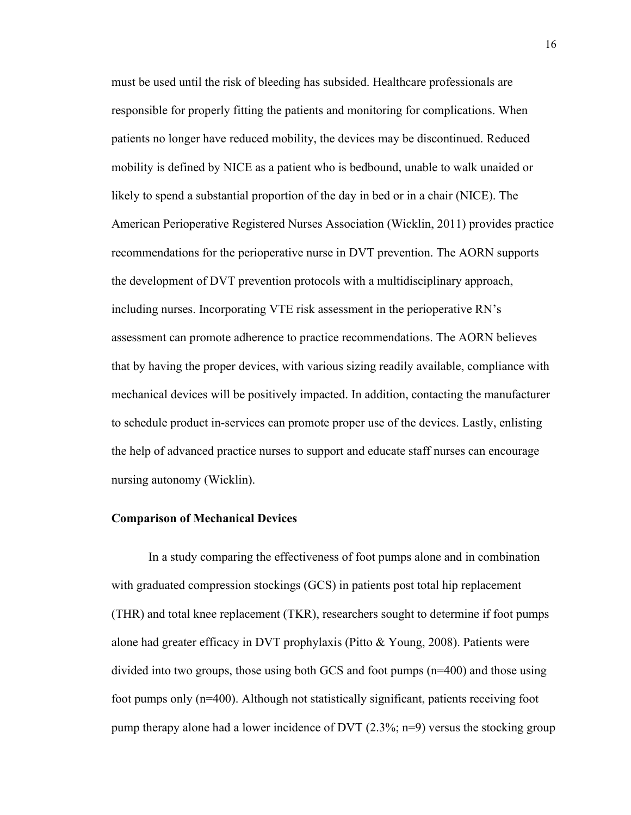must be used until the risk of bleeding has subsided. Healthcare professionals are responsible for properly fitting the patients and monitoring for complications. When patients no longer have reduced mobility, the devices may be discontinued. Reduced mobility is defined by NICE as a patient who is bedbound, unable to walk unaided or likely to spend a substantial proportion of the day in bed or in a chair (NICE). The American Perioperative Registered Nurses Association (Wicklin, 2011) provides practice recommendations for the perioperative nurse in DVT prevention. The AORN supports the development of DVT prevention protocols with a multidisciplinary approach, including nurses. Incorporating VTE risk assessment in the perioperative RN's assessment can promote adherence to practice recommendations. The AORN believes that by having the proper devices, with various sizing readily available, compliance with mechanical devices will be positively impacted. In addition, contacting the manufacturer to schedule product in-services can promote proper use of the devices. Lastly, enlisting the help of advanced practice nurses to support and educate staff nurses can encourage nursing autonomy (Wicklin).

#### **Comparison of Mechanical Devices**

In a study comparing the effectiveness of foot pumps alone and in combination with graduated compression stockings (GCS) in patients post total hip replacement (THR) and total knee replacement (TKR), researchers sought to determine if foot pumps alone had greater efficacy in DVT prophylaxis (Pitto & Young, 2008). Patients were divided into two groups, those using both GCS and foot pumps (n=400) and those using foot pumps only (n=400). Although not statistically significant, patients receiving foot pump therapy alone had a lower incidence of DVT  $(2.3\%; n=9)$  versus the stocking group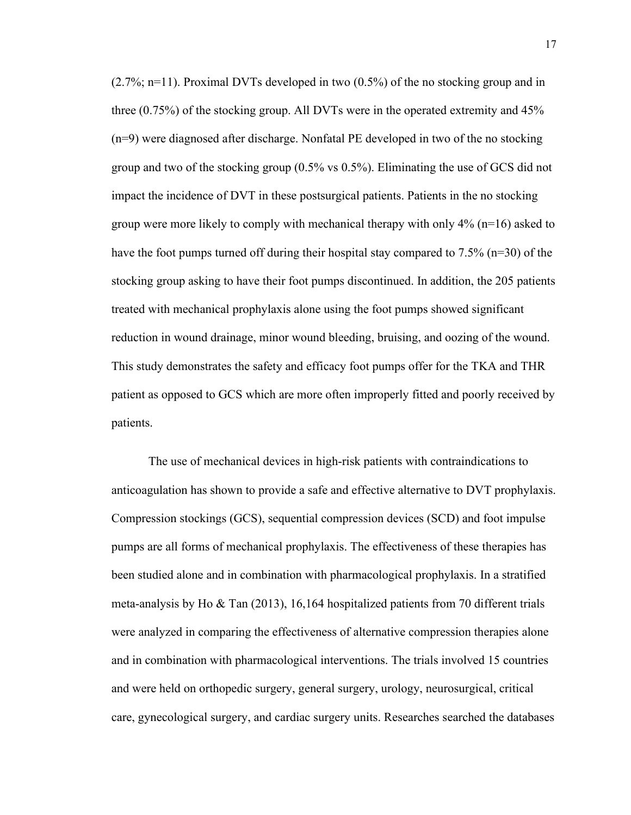(2.7%; n=11). Proximal DVTs developed in two (0.5%) of the no stocking group and in three (0.75%) of the stocking group. All DVTs were in the operated extremity and 45% (n=9) were diagnosed after discharge. Nonfatal PE developed in two of the no stocking group and two of the stocking group (0.5% vs 0.5%). Eliminating the use of GCS did not impact the incidence of DVT in these postsurgical patients. Patients in the no stocking group were more likely to comply with mechanical therapy with only 4% (n=16) asked to have the foot pumps turned off during their hospital stay compared to 7.5% (n=30) of the stocking group asking to have their foot pumps discontinued. In addition, the 205 patients treated with mechanical prophylaxis alone using the foot pumps showed significant reduction in wound drainage, minor wound bleeding, bruising, and oozing of the wound. This study demonstrates the safety and efficacy foot pumps offer for the TKA and THR patient as opposed to GCS which are more often improperly fitted and poorly received by patients.

The use of mechanical devices in high-risk patients with contraindications to anticoagulation has shown to provide a safe and effective alternative to DVT prophylaxis. Compression stockings (GCS), sequential compression devices (SCD) and foot impulse pumps are all forms of mechanical prophylaxis. The effectiveness of these therapies has been studied alone and in combination with pharmacological prophylaxis. In a stratified meta-analysis by Ho & Tan (2013), 16,164 hospitalized patients from 70 different trials were analyzed in comparing the effectiveness of alternative compression therapies alone and in combination with pharmacological interventions. The trials involved 15 countries and were held on orthopedic surgery, general surgery, urology, neurosurgical, critical care, gynecological surgery, and cardiac surgery units. Researches searched the databases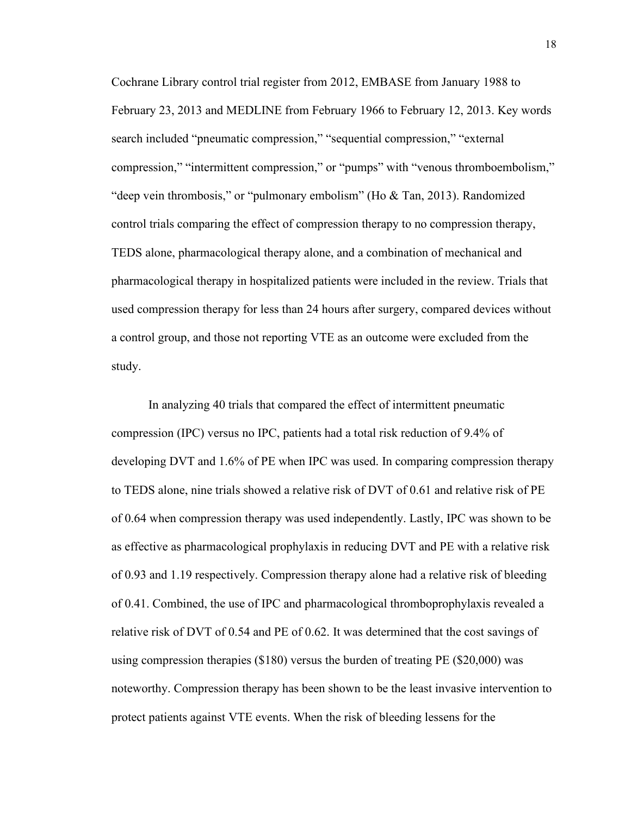Cochrane Library control trial register from 2012, EMBASE from January 1988 to February 23, 2013 and MEDLINE from February 1966 to February 12, 2013. Key words search included "pneumatic compression," "sequential compression," "external compression," "intermittent compression," or "pumps" with "venous thromboembolism," "deep vein thrombosis," or "pulmonary embolism" (Ho & Tan, 2013). Randomized control trials comparing the effect of compression therapy to no compression therapy, TEDS alone, pharmacological therapy alone, and a combination of mechanical and pharmacological therapy in hospitalized patients were included in the review. Trials that used compression therapy for less than 24 hours after surgery, compared devices without a control group, and those not reporting VTE as an outcome were excluded from the study.

In analyzing 40 trials that compared the effect of intermittent pneumatic compression (IPC) versus no IPC, patients had a total risk reduction of 9.4% of developing DVT and 1.6% of PE when IPC was used. In comparing compression therapy to TEDS alone, nine trials showed a relative risk of DVT of 0.61 and relative risk of PE of 0.64 when compression therapy was used independently. Lastly, IPC was shown to be as effective as pharmacological prophylaxis in reducing DVT and PE with a relative risk of 0.93 and 1.19 respectively. Compression therapy alone had a relative risk of bleeding of 0.41. Combined, the use of IPC and pharmacological thromboprophylaxis revealed a relative risk of DVT of 0.54 and PE of 0.62. It was determined that the cost savings of using compression therapies (\$180) versus the burden of treating PE (\$20,000) was noteworthy. Compression therapy has been shown to be the least invasive intervention to protect patients against VTE events. When the risk of bleeding lessens for the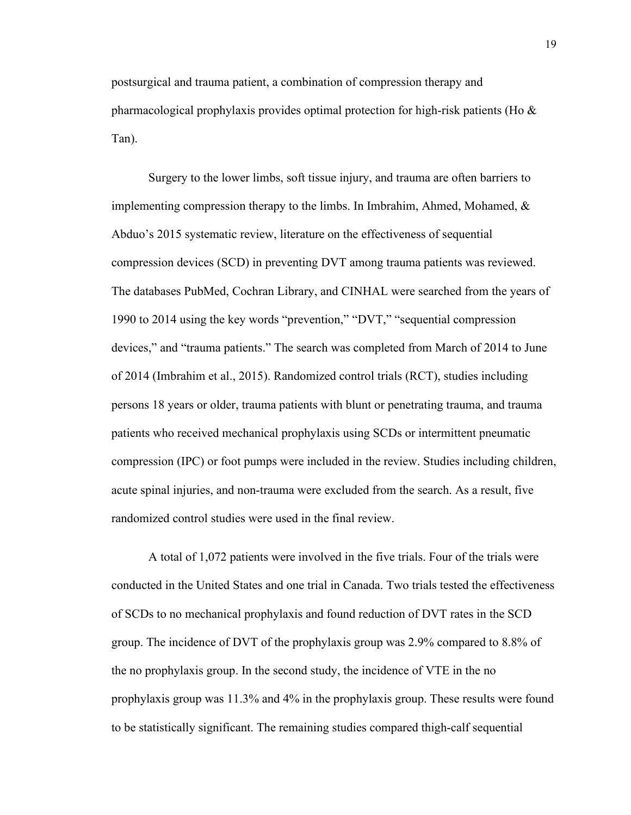postsurgical and trauma patient, a combination of compression therapy and pharmacological prophylaxis provides optimal protection for high-risk patients (Ho  $\&$ Tan).

Surgery to the lower limbs, soft tissue injury, and trauma are often barriers to implementing compression therapy to the limbs. In Imbrahim, Ahmed, Mohamed, & Abduo's 2015 systematic review, literature on the effectiveness of sequential compression devices (SCD) in preventing DVT among trauma patients was reviewed. The databases PubMed, Cochran Library, and CINHAL were searched from the years of 1990 to 2014 using the key words "prevention," "DVT," "sequential compression devices," and "trauma patients." The search was completed from March of 2014 to June of 2014 (Imbrahim et al., 2015). Randomized control trials (RCT), studies including persons 18 years or older, trauma patients with blunt or penetrating trauma, and trauma patients who received mechanical prophylaxis using SCDs or intermittent pneumatic compression (IPC) or foot pumps were included in the review. Studies including children, acute spinal injuries, and non-trauma were excluded from the search. As a result, five randomized control studies were used in the final review.

A total of 1,072 patients were involved in the five trials. Four of the trials were conducted in the United States and one trial in Canada. Two trials tested the effectiveness of SCDs to no mechanical prophylaxis and found reduction of DVT rates in the SCD group. The incidence of DVT of the prophylaxis group was 2.9% compared to 8.8% of the no prophylaxis group. In the second study, the incidence of VTE in the no prophylaxis group was 11.3% and 4% in the prophylaxis group. These results were found to be statistically significant. The remaining studies compared thigh-calf sequential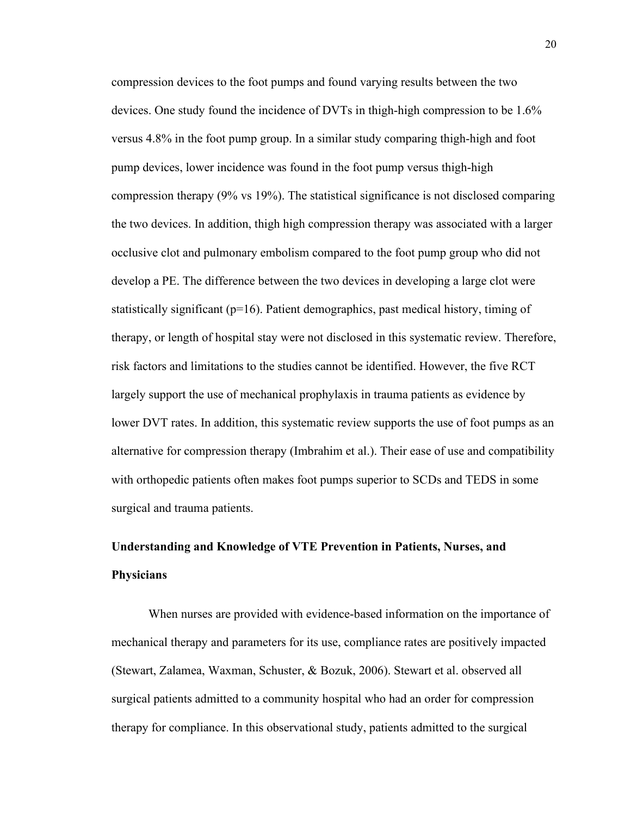compression devices to the foot pumps and found varying results between the two devices. One study found the incidence of DVTs in thigh-high compression to be 1.6% versus 4.8% in the foot pump group. In a similar study comparing thigh-high and foot pump devices, lower incidence was found in the foot pump versus thigh-high compression therapy (9% vs 19%). The statistical significance is not disclosed comparing the two devices. In addition, thigh high compression therapy was associated with a larger occlusive clot and pulmonary embolism compared to the foot pump group who did not develop a PE. The difference between the two devices in developing a large clot were statistically significant ( $p=16$ ). Patient demographics, past medical history, timing of therapy, or length of hospital stay were not disclosed in this systematic review. Therefore, risk factors and limitations to the studies cannot be identified. However, the five RCT largely support the use of mechanical prophylaxis in trauma patients as evidence by lower DVT rates. In addition, this systematic review supports the use of foot pumps as an alternative for compression therapy (Imbrahim et al.). Their ease of use and compatibility with orthopedic patients often makes foot pumps superior to SCDs and TEDS in some surgical and trauma patients.

## **Understanding and Knowledge of VTE Prevention in Patients, Nurses, and Physicians**

When nurses are provided with evidence-based information on the importance of mechanical therapy and parameters for its use, compliance rates are positively impacted (Stewart, Zalamea, Waxman, Schuster, & Bozuk, 2006). Stewart et al. observed all surgical patients admitted to a community hospital who had an order for compression therapy for compliance. In this observational study, patients admitted to the surgical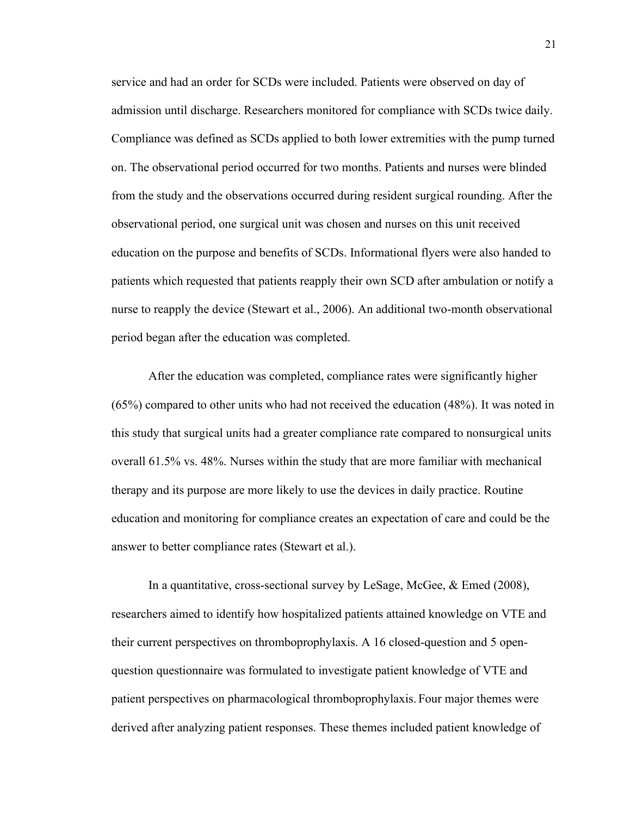service and had an order for SCDs were included. Patients were observed on day of admission until discharge. Researchers monitored for compliance with SCDs twice daily. Compliance was defined as SCDs applied to both lower extremities with the pump turned on. The observational period occurred for two months. Patients and nurses were blinded from the study and the observations occurred during resident surgical rounding. After the observational period, one surgical unit was chosen and nurses on this unit received education on the purpose and benefits of SCDs. Informational flyers were also handed to patients which requested that patients reapply their own SCD after ambulation or notify a nurse to reapply the device (Stewart et al., 2006). An additional two-month observational period began after the education was completed.

After the education was completed, compliance rates were significantly higher (65%) compared to other units who had not received the education (48%). It was noted in this study that surgical units had a greater compliance rate compared to nonsurgical units overall 61.5% vs. 48%. Nurses within the study that are more familiar with mechanical therapy and its purpose are more likely to use the devices in daily practice. Routine education and monitoring for compliance creates an expectation of care and could be the answer to better compliance rates (Stewart et al.).

In a quantitative, cross-sectional survey by LeSage, McGee, & Emed (2008), researchers aimed to identify how hospitalized patients attained knowledge on VTE and their current perspectives on thromboprophylaxis. A 16 closed-question and 5 openquestion questionnaire was formulated to investigate patient knowledge of VTE and patient perspectives on pharmacological thromboprophylaxis. Four major themes were derived after analyzing patient responses. These themes included patient knowledge of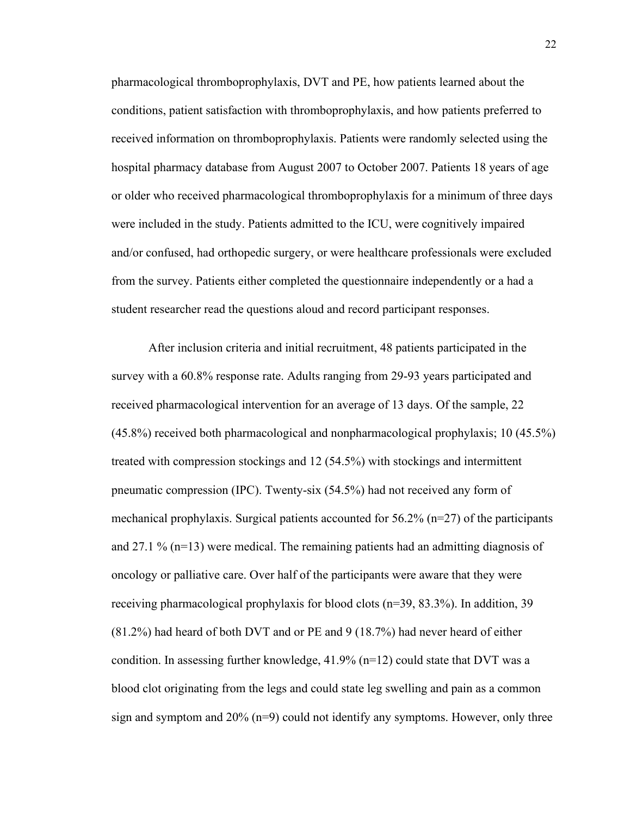pharmacological thromboprophylaxis, DVT and PE, how patients learned about the conditions, patient satisfaction with thromboprophylaxis, and how patients preferred to received information on thromboprophylaxis. Patients were randomly selected using the hospital pharmacy database from August 2007 to October 2007. Patients 18 years of age or older who received pharmacological thromboprophylaxis for a minimum of three days were included in the study. Patients admitted to the ICU, were cognitively impaired and/or confused, had orthopedic surgery, or were healthcare professionals were excluded from the survey. Patients either completed the questionnaire independently or a had a student researcher read the questions aloud and record participant responses.

After inclusion criteria and initial recruitment, 48 patients participated in the survey with a 60.8% response rate. Adults ranging from 29-93 years participated and received pharmacological intervention for an average of 13 days. Of the sample, 22 (45.8%) received both pharmacological and nonpharmacological prophylaxis; 10 (45.5%) treated with compression stockings and 12 (54.5%) with stockings and intermittent pneumatic compression (IPC). Twenty-six (54.5%) had not received any form of mechanical prophylaxis. Surgical patients accounted for  $56.2\%$  (n=27) of the participants and 27.1 %  $(n=13)$  were medical. The remaining patients had an admitting diagnosis of oncology or palliative care. Over half of the participants were aware that they were receiving pharmacological prophylaxis for blood clots (n=39, 83.3%). In addition, 39 (81.2%) had heard of both DVT and or PE and 9 (18.7%) had never heard of either condition. In assessing further knowledge,  $41.9\%$  (n=12) could state that DVT was a blood clot originating from the legs and could state leg swelling and pain as a common sign and symptom and  $20\%$  (n=9) could not identify any symptoms. However, only three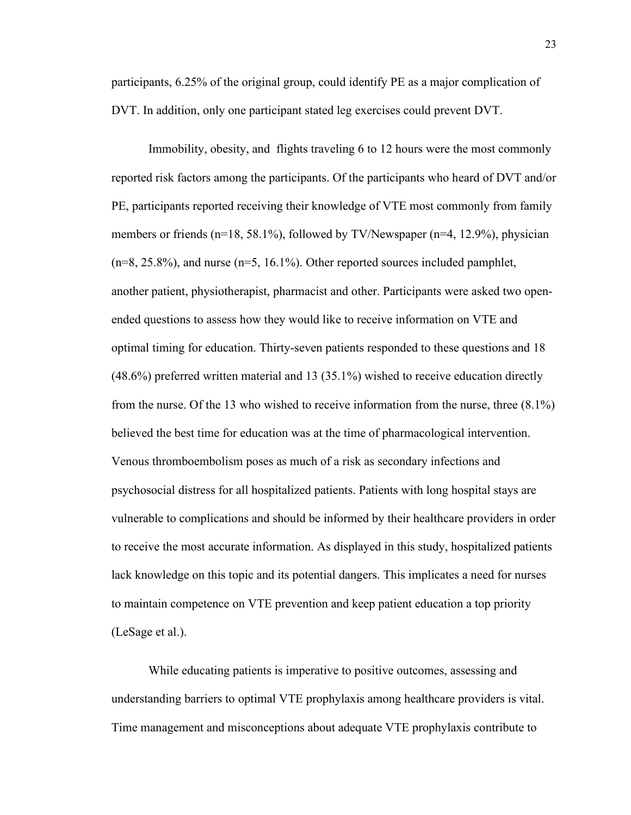participants, 6.25% of the original group, could identify PE as a major complication of DVT. In addition, only one participant stated leg exercises could prevent DVT.

Immobility, obesity, and flights traveling 6 to 12 hours were the most commonly reported risk factors among the participants. Of the participants who heard of DVT and/or PE, participants reported receiving their knowledge of VTE most commonly from family members or friends ( $n=18, 58.1\%$ ), followed by TV/Newspaper ( $n=4, 12.9\%$ ), physician  $(n=8, 25.8\%)$ , and nurse  $(n=5, 16.1\%)$ . Other reported sources included pamphlet, another patient, physiotherapist, pharmacist and other. Participants were asked two openended questions to assess how they would like to receive information on VTE and optimal timing for education. Thirty-seven patients responded to these questions and 18 (48.6%) preferred written material and 13 (35.1%) wished to receive education directly from the nurse. Of the 13 who wished to receive information from the nurse, three (8.1%) believed the best time for education was at the time of pharmacological intervention. Venous thromboembolism poses as much of a risk as secondary infections and psychosocial distress for all hospitalized patients. Patients with long hospital stays are vulnerable to complications and should be informed by their healthcare providers in order to receive the most accurate information. As displayed in this study, hospitalized patients lack knowledge on this topic and its potential dangers. This implicates a need for nurses to maintain competence on VTE prevention and keep patient education a top priority (LeSage et al.).

While educating patients is imperative to positive outcomes, assessing and understanding barriers to optimal VTE prophylaxis among healthcare providers is vital. Time management and misconceptions about adequate VTE prophylaxis contribute to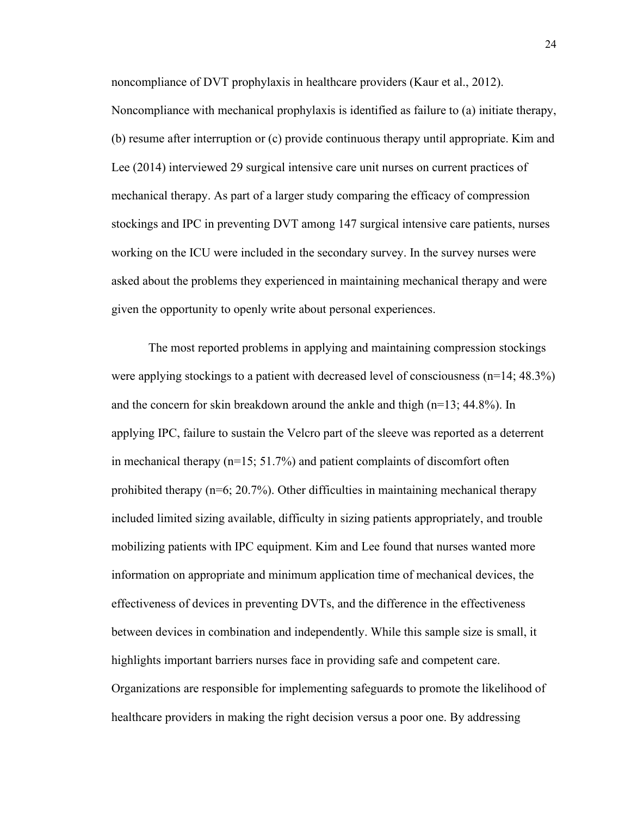noncompliance of DVT prophylaxis in healthcare providers (Kaur et al., 2012).

Noncompliance with mechanical prophylaxis is identified as failure to (a) initiate therapy, (b) resume after interruption or (c) provide continuous therapy until appropriate. Kim and Lee (2014) interviewed 29 surgical intensive care unit nurses on current practices of mechanical therapy. As part of a larger study comparing the efficacy of compression stockings and IPC in preventing DVT among 147 surgical intensive care patients, nurses working on the ICU were included in the secondary survey. In the survey nurses were asked about the problems they experienced in maintaining mechanical therapy and were given the opportunity to openly write about personal experiences.

The most reported problems in applying and maintaining compression stockings were applying stockings to a patient with decreased level of consciousness (n=14; 48.3%) and the concern for skin breakdown around the ankle and thigh  $(n=13; 44.8\%)$ . In applying IPC, failure to sustain the Velcro part of the sleeve was reported as a deterrent in mechanical therapy  $(n=15; 51.7%)$  and patient complaints of discomfort often prohibited therapy (n=6; 20.7%). Other difficulties in maintaining mechanical therapy included limited sizing available, difficulty in sizing patients appropriately, and trouble mobilizing patients with IPC equipment. Kim and Lee found that nurses wanted more information on appropriate and minimum application time of mechanical devices, the effectiveness of devices in preventing DVTs, and the difference in the effectiveness between devices in combination and independently. While this sample size is small, it highlights important barriers nurses face in providing safe and competent care. Organizations are responsible for implementing safeguards to promote the likelihood of healthcare providers in making the right decision versus a poor one. By addressing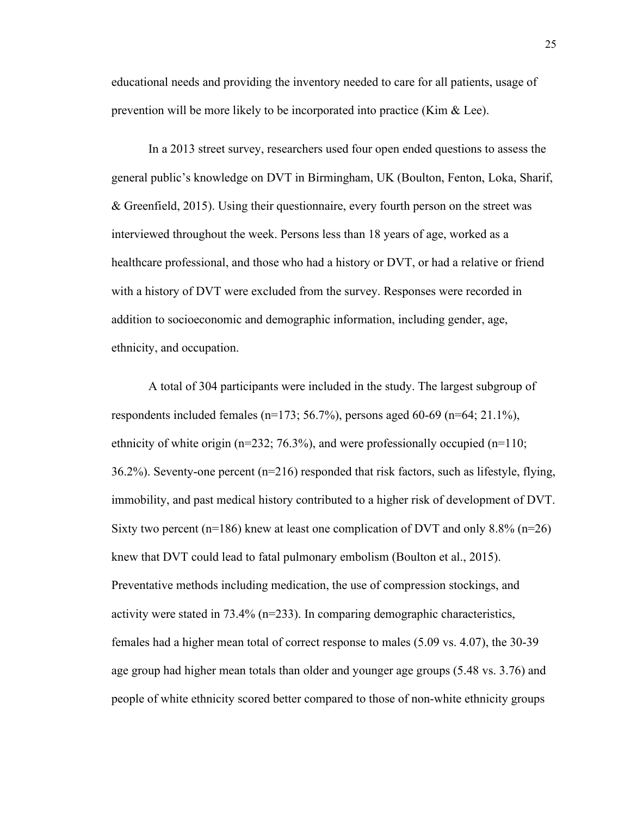educational needs and providing the inventory needed to care for all patients, usage of prevention will be more likely to be incorporated into practice (Kim & Lee).

In a 2013 street survey, researchers used four open ended questions to assess the general public's knowledge on DVT in Birmingham, UK (Boulton, Fenton, Loka, Sharif, & Greenfield, 2015). Using their questionnaire, every fourth person on the street was interviewed throughout the week. Persons less than 18 years of age, worked as a healthcare professional, and those who had a history or DVT, or had a relative or friend with a history of DVT were excluded from the survey. Responses were recorded in addition to socioeconomic and demographic information, including gender, age, ethnicity, and occupation.

A total of 304 participants were included in the study. The largest subgroup of respondents included females ( $n=173$ ; 56.7%), persons aged 60-69 ( $n=64$ ; 21.1%), ethnicity of white origin ( $n=232$ ; 76.3%), and were professionally occupied ( $n=110$ ; 36.2%). Seventy-one percent (n=216) responded that risk factors, such as lifestyle, flying, immobility, and past medical history contributed to a higher risk of development of DVT. Sixty two percent (n=186) knew at least one complication of DVT and only 8.8% (n=26) knew that DVT could lead to fatal pulmonary embolism (Boulton et al., 2015). Preventative methods including medication, the use of compression stockings, and activity were stated in  $73.4\%$  (n=233). In comparing demographic characteristics, females had a higher mean total of correct response to males (5.09 vs. 4.07), the 30-39 age group had higher mean totals than older and younger age groups (5.48 vs. 3.76) and people of white ethnicity scored better compared to those of non-white ethnicity groups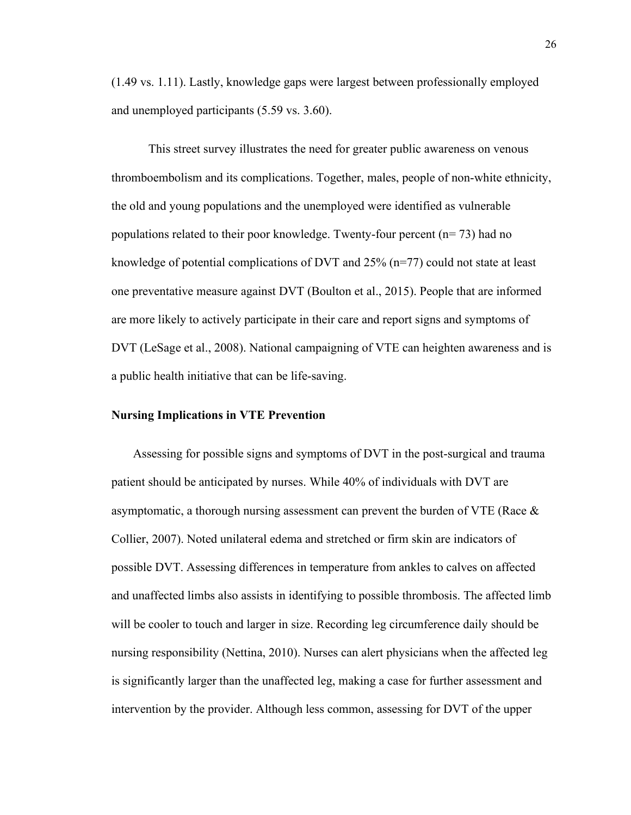(1.49 vs. 1.11). Lastly, knowledge gaps were largest between professionally employed and unemployed participants (5.59 vs. 3.60).

This street survey illustrates the need for greater public awareness on venous thromboembolism and its complications. Together, males, people of non-white ethnicity, the old and young populations and the unemployed were identified as vulnerable populations related to their poor knowledge. Twenty-four percent  $(n= 73)$  had no knowledge of potential complications of DVT and 25% (n=77) could not state at least one preventative measure against DVT (Boulton et al., 2015). People that are informed are more likely to actively participate in their care and report signs and symptoms of DVT (LeSage et al., 2008). National campaigning of VTE can heighten awareness and is a public health initiative that can be life-saving.

#### **Nursing Implications in VTE Prevention**

 Assessing for possible signs and symptoms of DVT in the post-surgical and trauma patient should be anticipated by nurses. While 40% of individuals with DVT are asymptomatic, a thorough nursing assessment can prevent the burden of VTE (Race  $\&$ Collier, 2007). Noted unilateral edema and stretched or firm skin are indicators of possible DVT. Assessing differences in temperature from ankles to calves on affected and unaffected limbs also assists in identifying to possible thrombosis. The affected limb will be cooler to touch and larger in size. Recording leg circumference daily should be nursing responsibility (Nettina, 2010). Nurses can alert physicians when the affected leg is significantly larger than the unaffected leg, making a case for further assessment and intervention by the provider. Although less common, assessing for DVT of the upper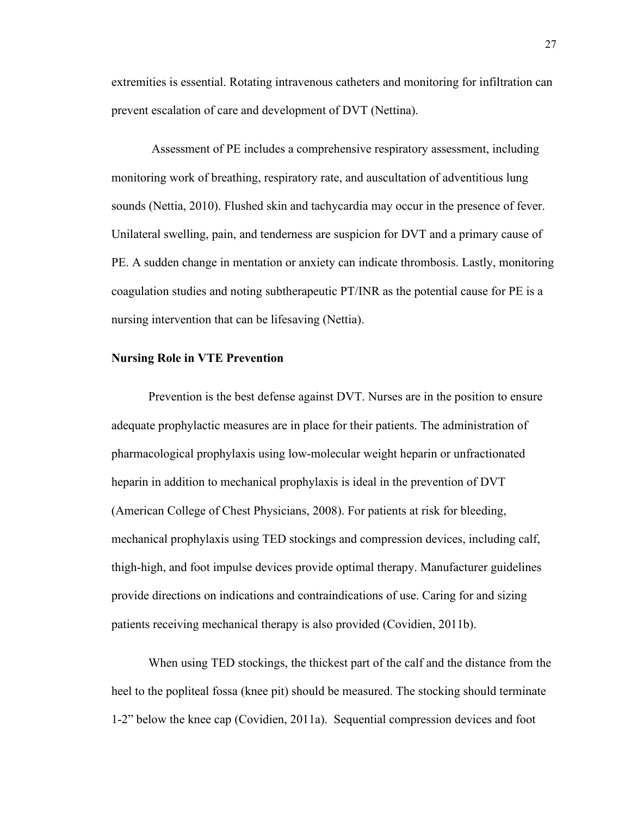extremities is essential. Rotating intravenous catheters and monitoring for infiltration can prevent escalation of care and development of DVT (Nettina).

Assessment of PE includes a comprehensive respiratory assessment, including monitoring work of breathing, respiratory rate, and auscultation of adventitious lung sounds (Nettia, 2010). Flushed skin and tachycardia may occur in the presence of fever. Unilateral swelling, pain, and tenderness are suspicion for DVT and a primary cause of PE. A sudden change in mentation or anxiety can indicate thrombosis. Lastly, monitoring coagulation studies and noting subtherapeutic PT/INR as the potential cause for PE is a nursing intervention that can be lifesaving (Nettia).

#### **Nursing Role in VTE Prevention**

Prevention is the best defense against DVT. Nurses are in the position to ensure adequate prophylactic measures are in place for their patients. The administration of pharmacological prophylaxis using low-molecular weight heparin or unfractionated heparin in addition to mechanical prophylaxis is ideal in the prevention of DVT (American College of Chest Physicians, 2008). For patients at risk for bleeding, mechanical prophylaxis using TED stockings and compression devices, including calf, thigh-high, and foot impulse devices provide optimal therapy. Manufacturer guidelines provide directions on indications and contraindications of use. Caring for and sizing patients receiving mechanical therapy is also provided (Covidien, 2011b).

When using TED stockings, the thickest part of the calf and the distance from the heel to the popliteal fossa (knee pit) should be measured. The stocking should terminate 1-2" below the knee cap (Covidien, 2011a). Sequential compression devices and foot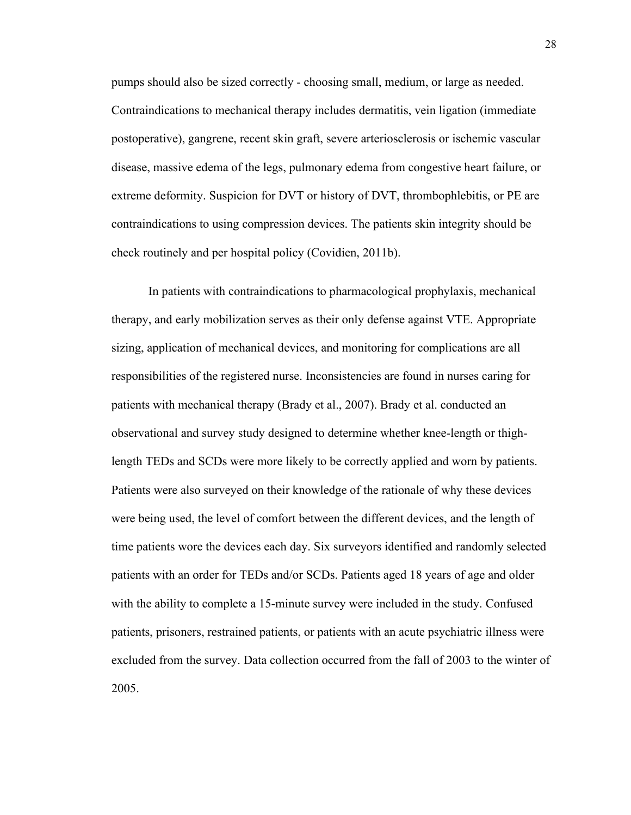pumps should also be sized correctly - choosing small, medium, or large as needed. Contraindications to mechanical therapy includes dermatitis, vein ligation (immediate postoperative), gangrene, recent skin graft, severe arteriosclerosis or ischemic vascular disease, massive edema of the legs, pulmonary edema from congestive heart failure, or extreme deformity. Suspicion for DVT or history of DVT, thrombophlebitis, or PE are contraindications to using compression devices. The patients skin integrity should be check routinely and per hospital policy (Covidien, 2011b).

In patients with contraindications to pharmacological prophylaxis, mechanical therapy, and early mobilization serves as their only defense against VTE. Appropriate sizing, application of mechanical devices, and monitoring for complications are all responsibilities of the registered nurse. Inconsistencies are found in nurses caring for patients with mechanical therapy (Brady et al., 2007). Brady et al. conducted an observational and survey study designed to determine whether knee-length or thighlength TEDs and SCDs were more likely to be correctly applied and worn by patients. Patients were also surveyed on their knowledge of the rationale of why these devices were being used, the level of comfort between the different devices, and the length of time patients wore the devices each day. Six surveyors identified and randomly selected patients with an order for TEDs and/or SCDs. Patients aged 18 years of age and older with the ability to complete a 15-minute survey were included in the study. Confused patients, prisoners, restrained patients, or patients with an acute psychiatric illness were excluded from the survey. Data collection occurred from the fall of 2003 to the winter of 2005.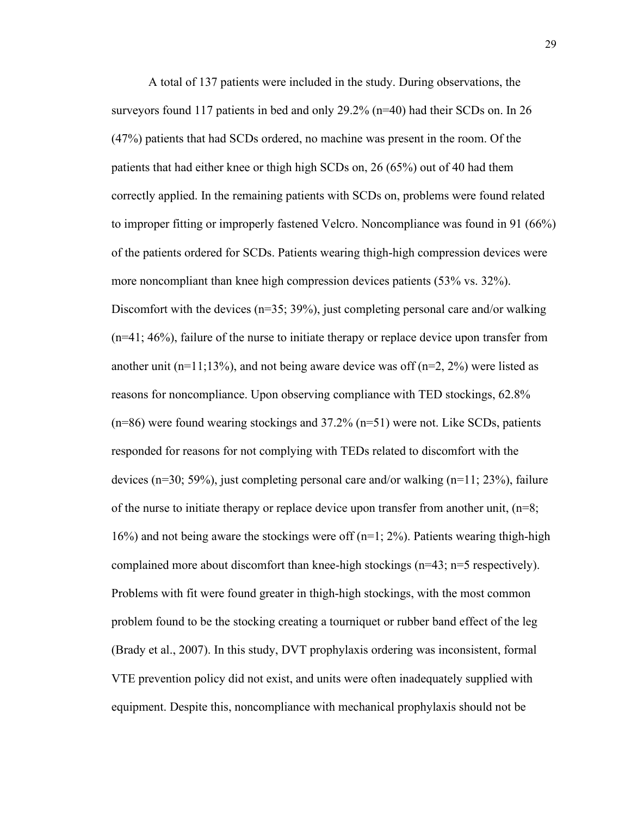A total of 137 patients were included in the study. During observations, the surveyors found 117 patients in bed and only 29.2% (n=40) had their SCDs on. In 26 (47%) patients that had SCDs ordered, no machine was present in the room. Of the patients that had either knee or thigh high SCDs on, 26 (65%) out of 40 had them correctly applied. In the remaining patients with SCDs on, problems were found related to improper fitting or improperly fastened Velcro. Noncompliance was found in 91 (66%) of the patients ordered for SCDs. Patients wearing thigh-high compression devices were more noncompliant than knee high compression devices patients (53% vs. 32%). Discomfort with the devices  $(n=35; 39%)$ , just completing personal care and/or walking (n=41; 46%), failure of the nurse to initiate therapy or replace device upon transfer from another unit (n=11;13%), and not being aware device was off (n=2, 2%) were listed as reasons for noncompliance. Upon observing compliance with TED stockings, 62.8% (n=86) were found wearing stockings and 37.2% (n=51) were not. Like SCDs, patients responded for reasons for not complying with TEDs related to discomfort with the devices (n=30; 59%), just completing personal care and/or walking (n=11; 23%), failure of the nurse to initiate therapy or replace device upon transfer from another unit, (n=8; 16%) and not being aware the stockings were off  $(n=1; 2\%)$ . Patients wearing thigh-high complained more about discomfort than knee-high stockings (n=43; n=5 respectively). Problems with fit were found greater in thigh-high stockings, with the most common problem found to be the stocking creating a tourniquet or rubber band effect of the leg (Brady et al., 2007). In this study, DVT prophylaxis ordering was inconsistent, formal VTE prevention policy did not exist, and units were often inadequately supplied with equipment. Despite this, noncompliance with mechanical prophylaxis should not be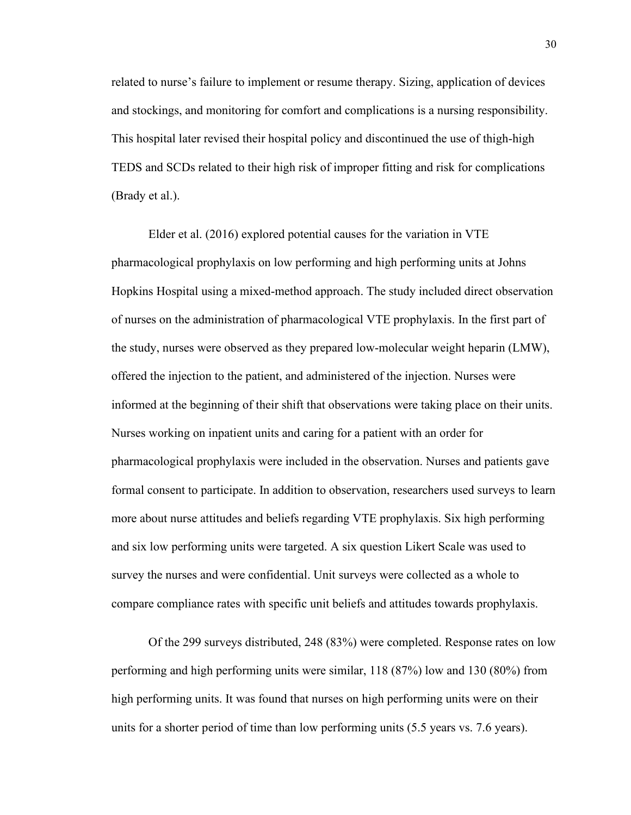related to nurse's failure to implement or resume therapy. Sizing, application of devices and stockings, and monitoring for comfort and complications is a nursing responsibility. This hospital later revised their hospital policy and discontinued the use of thigh-high TEDS and SCDs related to their high risk of improper fitting and risk for complications (Brady et al.).

Elder et al. (2016) explored potential causes for the variation in VTE pharmacological prophylaxis on low performing and high performing units at Johns Hopkins Hospital using a mixed-method approach. The study included direct observation of nurses on the administration of pharmacological VTE prophylaxis. In the first part of the study, nurses were observed as they prepared low-molecular weight heparin (LMW), offered the injection to the patient, and administered of the injection. Nurses were informed at the beginning of their shift that observations were taking place on their units. Nurses working on inpatient units and caring for a patient with an order for pharmacological prophylaxis were included in the observation. Nurses and patients gave formal consent to participate. In addition to observation, researchers used surveys to learn more about nurse attitudes and beliefs regarding VTE prophylaxis. Six high performing and six low performing units were targeted. A six question Likert Scale was used to survey the nurses and were confidential. Unit surveys were collected as a whole to compare compliance rates with specific unit beliefs and attitudes towards prophylaxis.

Of the 299 surveys distributed, 248 (83%) were completed. Response rates on low performing and high performing units were similar, 118 (87%) low and 130 (80%) from high performing units. It was found that nurses on high performing units were on their units for a shorter period of time than low performing units (5.5 years vs. 7.6 years).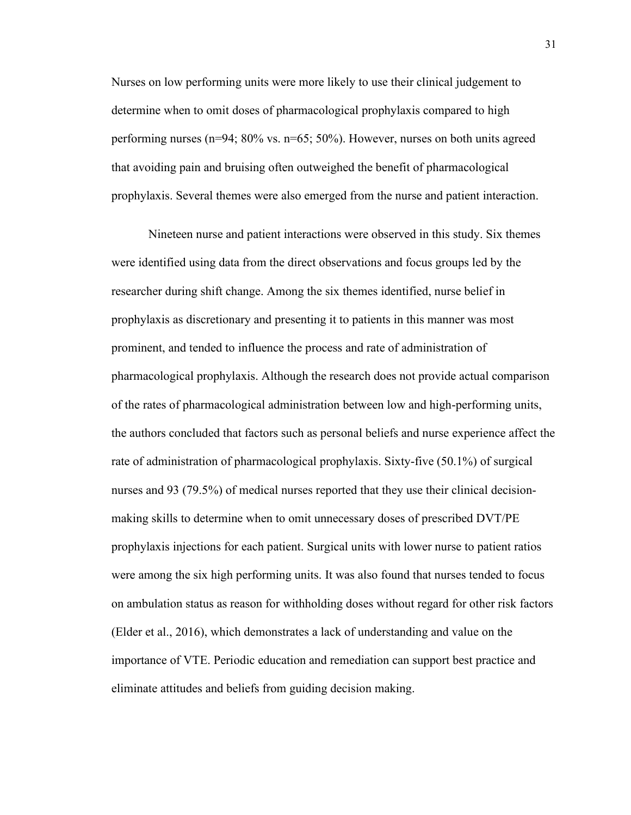Nurses on low performing units were more likely to use their clinical judgement to determine when to omit doses of pharmacological prophylaxis compared to high performing nurses (n=94; 80% vs. n=65; 50%). However, nurses on both units agreed that avoiding pain and bruising often outweighed the benefit of pharmacological prophylaxis. Several themes were also emerged from the nurse and patient interaction.

Nineteen nurse and patient interactions were observed in this study. Six themes were identified using data from the direct observations and focus groups led by the researcher during shift change. Among the six themes identified, nurse belief in prophylaxis as discretionary and presenting it to patients in this manner was most prominent, and tended to influence the process and rate of administration of pharmacological prophylaxis. Although the research does not provide actual comparison of the rates of pharmacological administration between low and high-performing units, the authors concluded that factors such as personal beliefs and nurse experience affect the rate of administration of pharmacological prophylaxis. Sixty-five (50.1%) of surgical nurses and 93 (79.5%) of medical nurses reported that they use their clinical decisionmaking skills to determine when to omit unnecessary doses of prescribed DVT/PE prophylaxis injections for each patient. Surgical units with lower nurse to patient ratios were among the six high performing units. It was also found that nurses tended to focus on ambulation status as reason for withholding doses without regard for other risk factors (Elder et al., 2016), which demonstrates a lack of understanding and value on the importance of VTE. Periodic education and remediation can support best practice and eliminate attitudes and beliefs from guiding decision making.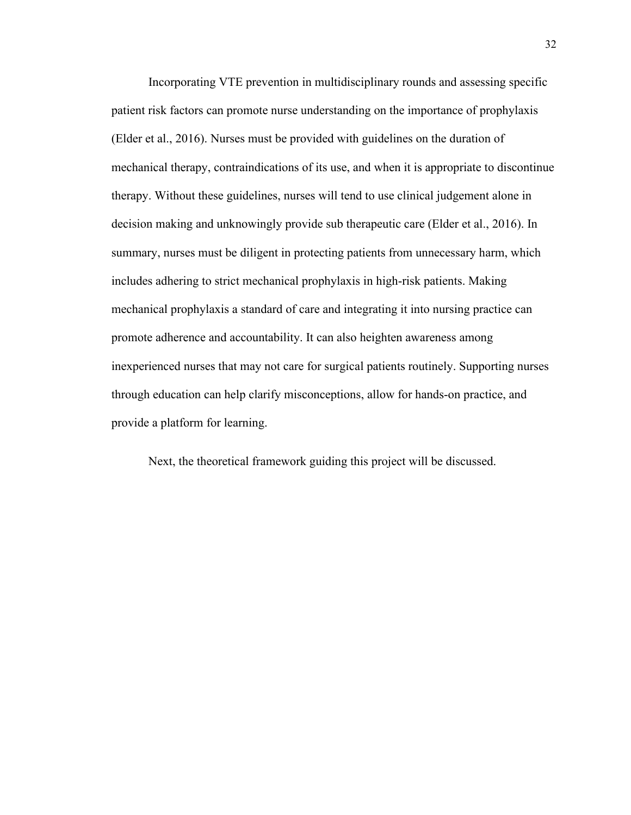Incorporating VTE prevention in multidisciplinary rounds and assessing specific patient risk factors can promote nurse understanding on the importance of prophylaxis (Elder et al., 2016). Nurses must be provided with guidelines on the duration of mechanical therapy, contraindications of its use, and when it is appropriate to discontinue therapy. Without these guidelines, nurses will tend to use clinical judgement alone in decision making and unknowingly provide sub therapeutic care (Elder et al., 2016). In summary, nurses must be diligent in protecting patients from unnecessary harm, which includes adhering to strict mechanical prophylaxis in high-risk patients. Making mechanical prophylaxis a standard of care and integrating it into nursing practice can promote adherence and accountability. It can also heighten awareness among inexperienced nurses that may not care for surgical patients routinely. Supporting nurses through education can help clarify misconceptions, allow for hands-on practice, and provide a platform for learning.

Next, the theoretical framework guiding this project will be discussed.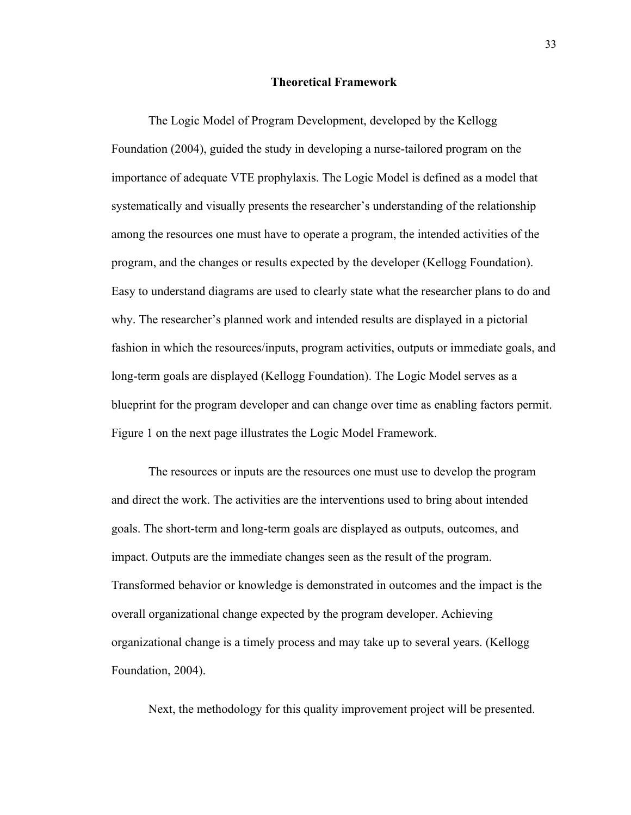#### **Theoretical Framework**

The Logic Model of Program Development, developed by the Kellogg Foundation (2004), guided the study in developing a nurse-tailored program on the importance of adequate VTE prophylaxis. The Logic Model is defined as a model that systematically and visually presents the researcher's understanding of the relationship among the resources one must have to operate a program, the intended activities of the program, and the changes or results expected by the developer (Kellogg Foundation). Easy to understand diagrams are used to clearly state what the researcher plans to do and why. The researcher's planned work and intended results are displayed in a pictorial fashion in which the resources/inputs, program activities, outputs or immediate goals, and long-term goals are displayed (Kellogg Foundation). The Logic Model serves as a blueprint for the program developer and can change over time as enabling factors permit. Figure 1 on the next page illustrates the Logic Model Framework.

The resources or inputs are the resources one must use to develop the program and direct the work. The activities are the interventions used to bring about intended goals. The short-term and long-term goals are displayed as outputs, outcomes, and impact. Outputs are the immediate changes seen as the result of the program. Transformed behavior or knowledge is demonstrated in outcomes and the impact is the overall organizational change expected by the program developer. Achieving organizational change is a timely process and may take up to several years. (Kellogg Foundation, 2004).

Next, the methodology for this quality improvement project will be presented.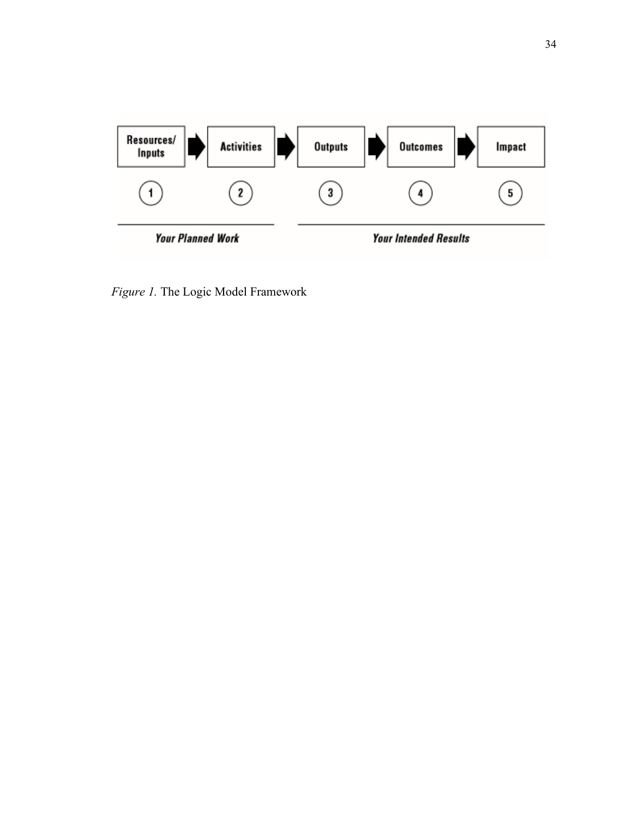

*Figure 1.* The Logic Model Framework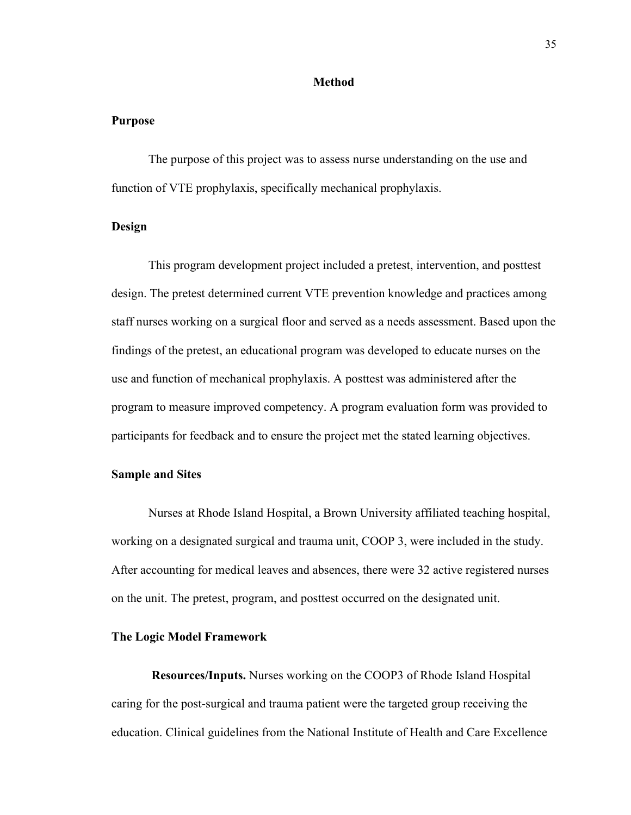#### **Method**

#### **Purpose**

The purpose of this project was to assess nurse understanding on the use and function of VTE prophylaxis, specifically mechanical prophylaxis.

#### **Design**

This program development project included a pretest, intervention, and posttest design. The pretest determined current VTE prevention knowledge and practices among staff nurses working on a surgical floor and served as a needs assessment. Based upon the findings of the pretest, an educational program was developed to educate nurses on the use and function of mechanical prophylaxis. A posttest was administered after the program to measure improved competency. A program evaluation form was provided to participants for feedback and to ensure the project met the stated learning objectives.

#### **Sample and Sites**

Nurses at Rhode Island Hospital, a Brown University affiliated teaching hospital, working on a designated surgical and trauma unit, COOP 3, were included in the study. After accounting for medical leaves and absences, there were 32 active registered nurses on the unit. The pretest, program, and posttest occurred on the designated unit.

#### **The Logic Model Framework**

**Resources/Inputs.** Nurses working on the COOP3 of Rhode Island Hospital caring for the post-surgical and trauma patient were the targeted group receiving the education. Clinical guidelines from the National Institute of Health and Care Excellence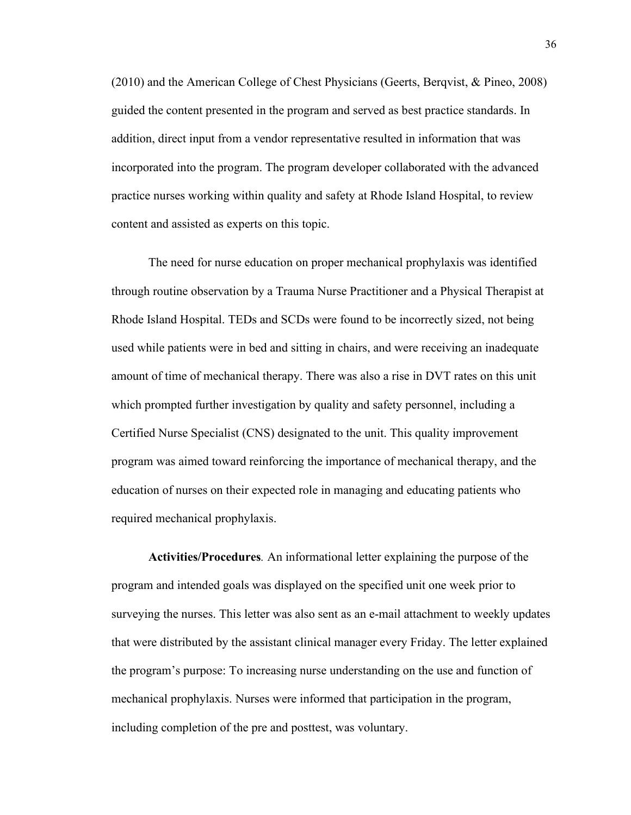(2010) and the American College of Chest Physicians (Geerts, Berqvist, & Pineo, 2008) guided the content presented in the program and served as best practice standards. In addition, direct input from a vendor representative resulted in information that was incorporated into the program. The program developer collaborated with the advanced practice nurses working within quality and safety at Rhode Island Hospital, to review content and assisted as experts on this topic.

The need for nurse education on proper mechanical prophylaxis was identified through routine observation by a Trauma Nurse Practitioner and a Physical Therapist at Rhode Island Hospital. TEDs and SCDs were found to be incorrectly sized, not being used while patients were in bed and sitting in chairs, and were receiving an inadequate amount of time of mechanical therapy. There was also a rise in DVT rates on this unit which prompted further investigation by quality and safety personnel, including a Certified Nurse Specialist (CNS) designated to the unit. This quality improvement program was aimed toward reinforcing the importance of mechanical therapy, and the education of nurses on their expected role in managing and educating patients who required mechanical prophylaxis.

**Activities/Procedures***.* An informational letter explaining the purpose of the program and intended goals was displayed on the specified unit one week prior to surveying the nurses. This letter was also sent as an e-mail attachment to weekly updates that were distributed by the assistant clinical manager every Friday. The letter explained the program's purpose: To increasing nurse understanding on the use and function of mechanical prophylaxis. Nurses were informed that participation in the program, including completion of the pre and posttest, was voluntary.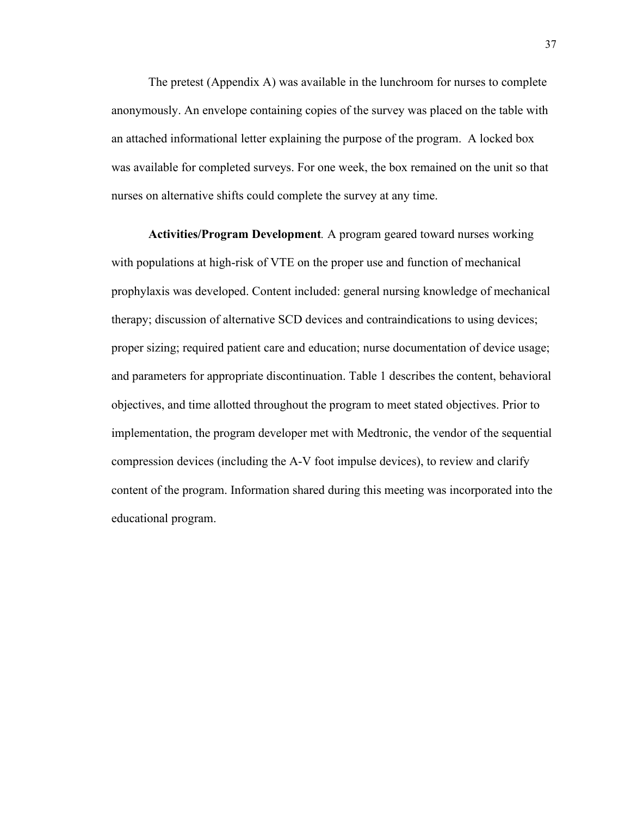The pretest (Appendix A) was available in the lunchroom for nurses to complete anonymously. An envelope containing copies of the survey was placed on the table with an attached informational letter explaining the purpose of the program. A locked box was available for completed surveys. For one week, the box remained on the unit so that nurses on alternative shifts could complete the survey at any time.

**Activities/Program Development***.* A program geared toward nurses working with populations at high-risk of VTE on the proper use and function of mechanical prophylaxis was developed. Content included: general nursing knowledge of mechanical therapy; discussion of alternative SCD devices and contraindications to using devices; proper sizing; required patient care and education; nurse documentation of device usage; and parameters for appropriate discontinuation. Table 1 describes the content, behavioral objectives, and time allotted throughout the program to meet stated objectives. Prior to implementation, the program developer met with Medtronic, the vendor of the sequential compression devices (including the A-V foot impulse devices), to review and clarify content of the program. Information shared during this meeting was incorporated into the educational program.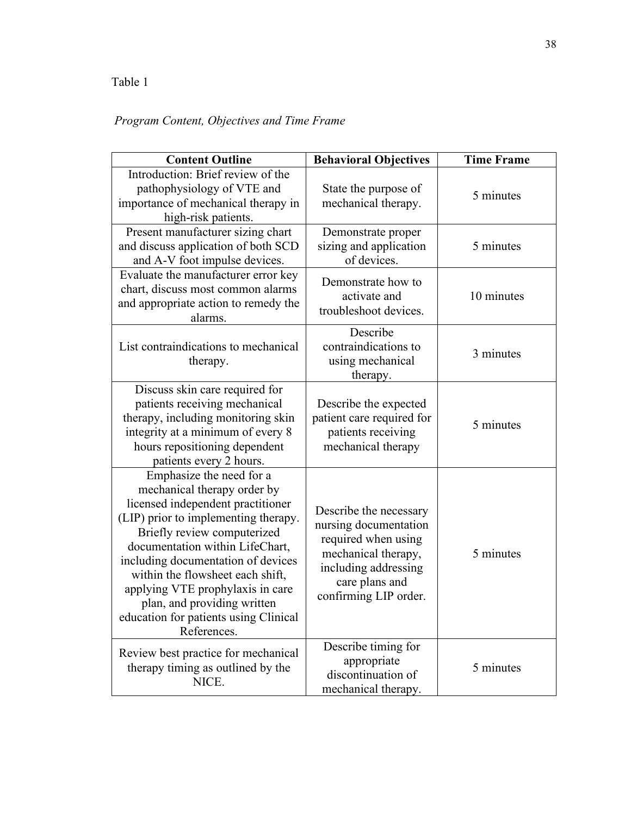## Table 1

## *Program Content, Objectives and Time Frame*

| <b>Content Outline</b>                                                                                                                                                                                                                                                                                                                                                                                      | <b>Behavioral Objectives</b>                                                                                                                                     | <b>Time Frame</b> |
|-------------------------------------------------------------------------------------------------------------------------------------------------------------------------------------------------------------------------------------------------------------------------------------------------------------------------------------------------------------------------------------------------------------|------------------------------------------------------------------------------------------------------------------------------------------------------------------|-------------------|
| Introduction: Brief review of the<br>pathophysiology of VTE and<br>importance of mechanical therapy in<br>high-risk patients.                                                                                                                                                                                                                                                                               | State the purpose of<br>mechanical therapy.                                                                                                                      | 5 minutes         |
| Present manufacturer sizing chart<br>and discuss application of both SCD<br>and A-V foot impulse devices.                                                                                                                                                                                                                                                                                                   | Demonstrate proper<br>sizing and application<br>of devices.                                                                                                      | 5 minutes         |
| Evaluate the manufacturer error key<br>chart, discuss most common alarms<br>and appropriate action to remedy the<br>alarms.                                                                                                                                                                                                                                                                                 | Demonstrate how to<br>activate and<br>troubleshoot devices.                                                                                                      | 10 minutes        |
| List contraindications to mechanical<br>therapy.                                                                                                                                                                                                                                                                                                                                                            | Describe<br>contraindications to<br>using mechanical<br>therapy.                                                                                                 | 3 minutes         |
| Discuss skin care required for<br>patients receiving mechanical<br>therapy, including monitoring skin<br>integrity at a minimum of every 8<br>hours repositioning dependent<br>patients every 2 hours.                                                                                                                                                                                                      | Describe the expected<br>patient care required for<br>patients receiving<br>mechanical therapy                                                                   | 5 minutes         |
| Emphasize the need for a<br>mechanical therapy order by<br>licensed independent practitioner<br>(LIP) prior to implementing therapy.<br>Briefly review computerized<br>documentation within LifeChart,<br>including documentation of devices<br>within the flowsheet each shift,<br>applying VTE prophylaxis in care<br>plan, and providing written<br>education for patients using Clinical<br>References. | Describe the necessary<br>nursing documentation<br>required when using<br>mechanical therapy,<br>including addressing<br>care plans and<br>confirming LIP order. | 5 minutes         |
| Review best practice for mechanical<br>therapy timing as outlined by the<br>NICE.                                                                                                                                                                                                                                                                                                                           | Describe timing for<br>appropriate<br>discontinuation of<br>mechanical therapy.                                                                                  | 5 minutes         |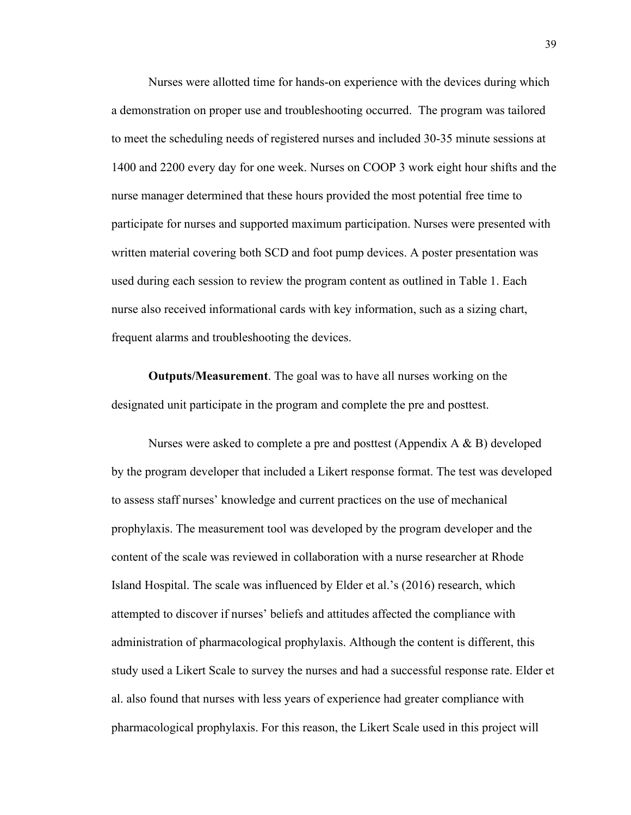Nurses were allotted time for hands-on experience with the devices during which a demonstration on proper use and troubleshooting occurred. The program was tailored to meet the scheduling needs of registered nurses and included 30-35 minute sessions at 1400 and 2200 every day for one week. Nurses on COOP 3 work eight hour shifts and the nurse manager determined that these hours provided the most potential free time to participate for nurses and supported maximum participation. Nurses were presented with written material covering both SCD and foot pump devices. A poster presentation was used during each session to review the program content as outlined in Table 1. Each nurse also received informational cards with key information, such as a sizing chart, frequent alarms and troubleshooting the devices.

**Outputs/Measurement**. The goal was to have all nurses working on the designated unit participate in the program and complete the pre and posttest.

Nurses were asked to complete a pre and posttest (Appendix  $A \& B$ ) developed by the program developer that included a Likert response format. The test was developed to assess staff nurses' knowledge and current practices on the use of mechanical prophylaxis. The measurement tool was developed by the program developer and the content of the scale was reviewed in collaboration with a nurse researcher at Rhode Island Hospital. The scale was influenced by Elder et al.'s (2016) research, which attempted to discover if nurses' beliefs and attitudes affected the compliance with administration of pharmacological prophylaxis. Although the content is different, this study used a Likert Scale to survey the nurses and had a successful response rate. Elder et al. also found that nurses with less years of experience had greater compliance with pharmacological prophylaxis. For this reason, the Likert Scale used in this project will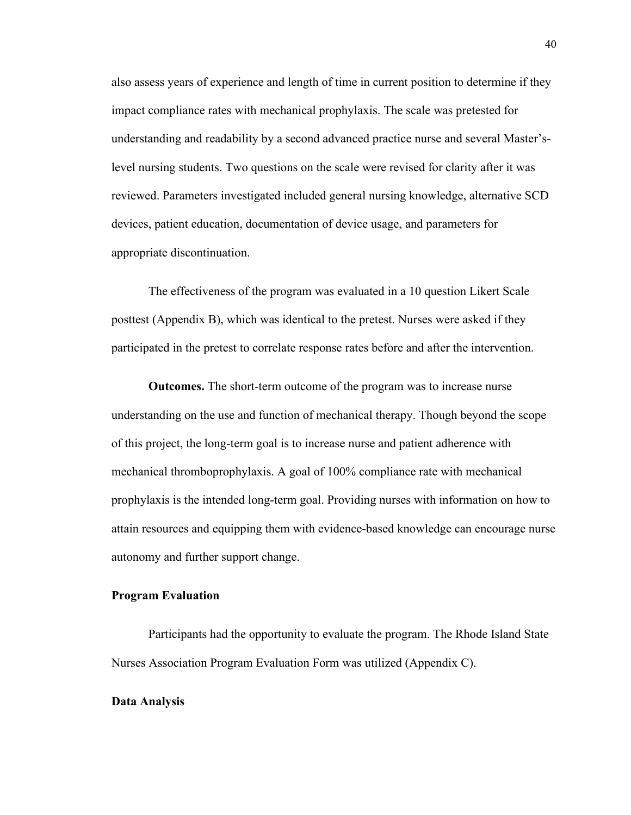also assess years of experience and length of time in current position to determine if they impact compliance rates with mechanical prophylaxis. The scale was pretested for understanding and readability by a second advanced practice nurse and several Master'slevel nursing students. Two questions on the scale were revised for clarity after it was reviewed. Parameters investigated included general nursing knowledge, alternative SCD devices, patient education, documentation of device usage, and parameters for appropriate discontinuation.

The effectiveness of the program was evaluated in a 10 question Likert Scale posttest (Appendix B), which was identical to the pretest. Nurses were asked if they participated in the pretest to correlate response rates before and after the intervention.

**Outcomes.** The short-term outcome of the program was to increase nurse understanding on the use and function of mechanical therapy. Though beyond the scope of this project, the long-term goal is to increase nurse and patient adherence with mechanical thromboprophylaxis. A goal of 100% compliance rate with mechanical prophylaxis is the intended long-term goal. Providing nurses with information on how to attain resources and equipping them with evidence-based knowledge can encourage nurse autonomy and further support change.

#### **Program Evaluation**

Participants had the opportunity to evaluate the program. The Rhode Island State Nurses Association Program Evaluation Form was utilized (Appendix C).

#### **Data Analysis**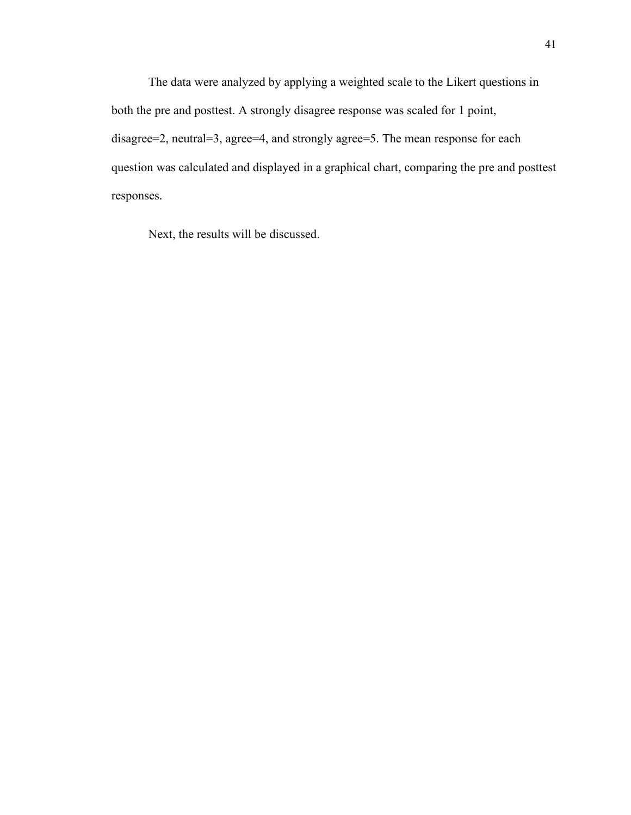The data were analyzed by applying a weighted scale to the Likert questions in both the pre and posttest. A strongly disagree response was scaled for 1 point, disagree=2, neutral=3, agree=4, and strongly agree=5. The mean response for each question was calculated and displayed in a graphical chart, comparing the pre and posttest responses.

Next, the results will be discussed.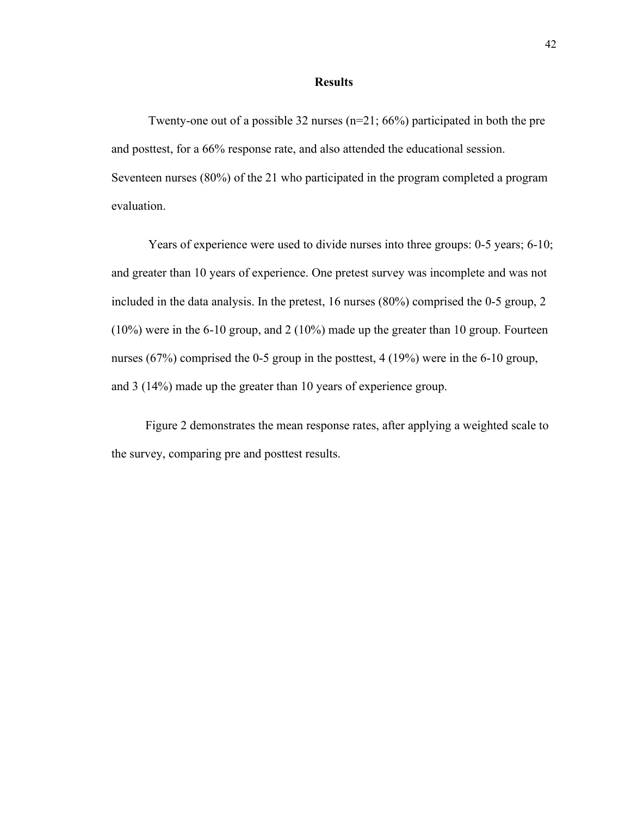#### **Results**

Twenty-one out of a possible 32 nurses (n=21; 66%) participated in both the pre and posttest, for a 66% response rate, and also attended the educational session. Seventeen nurses (80%) of the 21 who participated in the program completed a program evaluation.

Years of experience were used to divide nurses into three groups: 0-5 years; 6-10; and greater than 10 years of experience. One pretest survey was incomplete and was not included in the data analysis. In the pretest, 16 nurses (80%) comprised the 0-5 group, 2 (10%) were in the 6-10 group, and 2 (10%) made up the greater than 10 group. Fourteen nurses (67%) comprised the 0-5 group in the posttest, 4 (19%) were in the 6-10 group, and 3 (14%) made up the greater than 10 years of experience group.

 Figure 2 demonstrates the mean response rates, after applying a weighted scale to the survey, comparing pre and posttest results.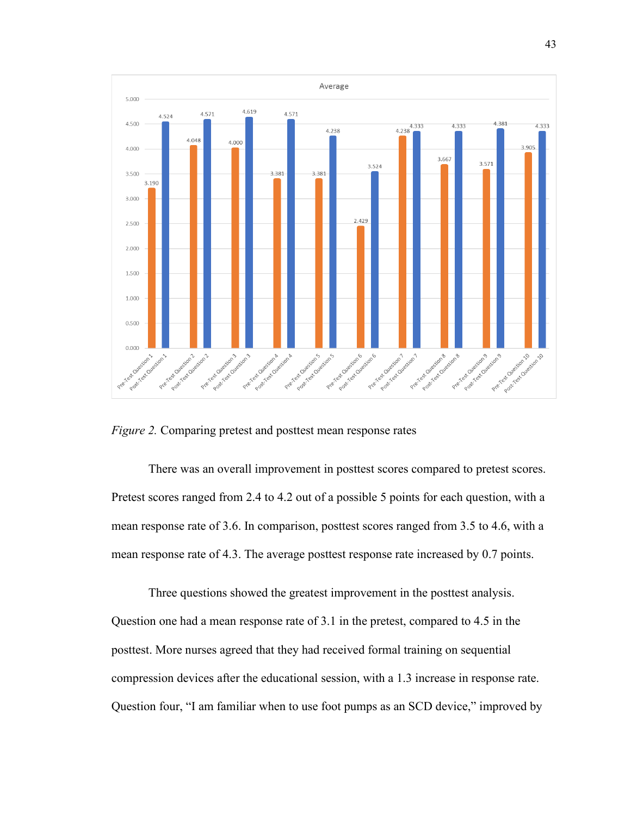

*Figure 2.* Comparing pretest and posttest mean response rates

There was an overall improvement in posttest scores compared to pretest scores. Pretest scores ranged from 2.4 to 4.2 out of a possible 5 points for each question, with a mean response rate of 3.6. In comparison, posttest scores ranged from 3.5 to 4.6, with a mean response rate of 4.3. The average posttest response rate increased by 0.7 points.

Three questions showed the greatest improvement in the posttest analysis. Question one had a mean response rate of 3.1 in the pretest, compared to 4.5 in the posttest. More nurses agreed that they had received formal training on sequential compression devices after the educational session, with a 1.3 increase in response rate. Question four, "I am familiar when to use foot pumps as an SCD device," improved by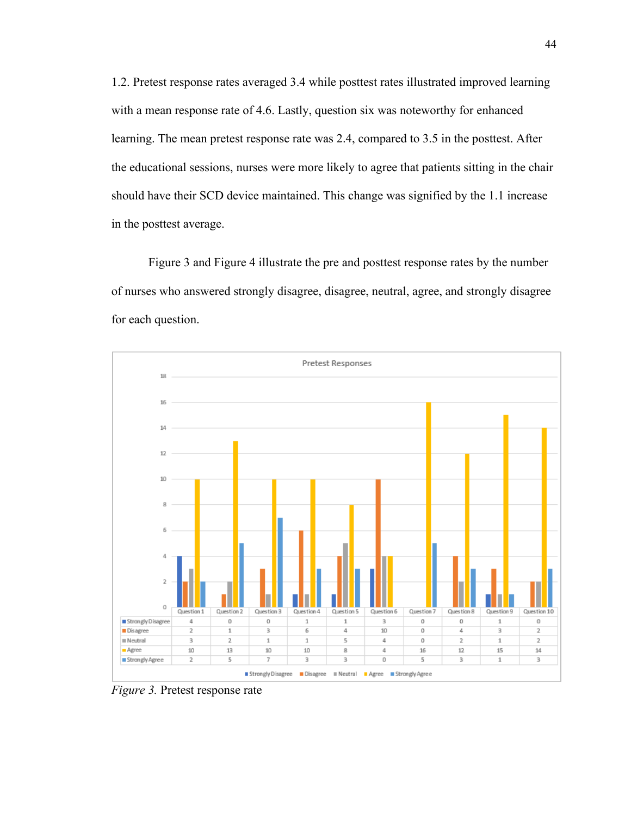1.2. Pretest response rates averaged 3.4 while posttest rates illustrated improved learning with a mean response rate of 4.6. Lastly, question six was noteworthy for enhanced learning. The mean pretest response rate was 2.4, compared to 3.5 in the posttest. After the educational sessions, nurses were more likely to agree that patients sitting in the chair should have their SCD device maintained. This change was signified by the 1.1 increase in the posttest average.

Figure 3 and Figure 4 illustrate the pre and posttest response rates by the number of nurses who answered strongly disagree, disagree, neutral, agree, and strongly disagree for each question.



*Figure 3.* Pretest response rate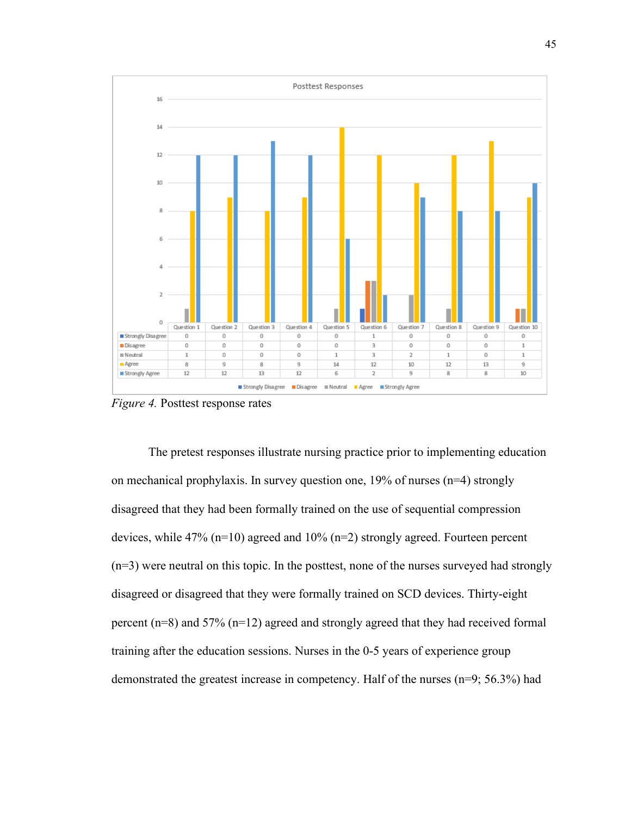

*Figure 4.* Posttest response rates

The pretest responses illustrate nursing practice prior to implementing education on mechanical prophylaxis. In survey question one, 19% of nurses (n=4) strongly disagreed that they had been formally trained on the use of sequential compression devices, while 47% (n=10) agreed and 10% (n=2) strongly agreed. Fourteen percent (n=3) were neutral on this topic. In the posttest, none of the nurses surveyed had strongly disagreed or disagreed that they were formally trained on SCD devices. Thirty-eight percent (n=8) and 57% (n=12) agreed and strongly agreed that they had received formal training after the education sessions. Nurses in the 0-5 years of experience group demonstrated the greatest increase in competency. Half of the nurses (n=9; 56.3%) had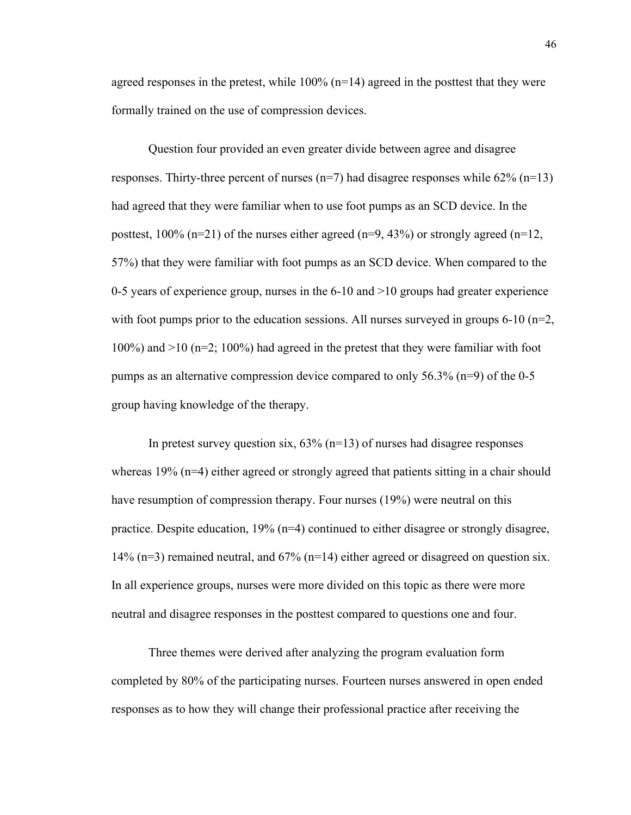agreed responses in the pretest, while  $100\%$  (n=14) agreed in the posttest that they were formally trained on the use of compression devices.

Question four provided an even greater divide between agree and disagree responses. Thirty-three percent of nurses  $(n=7)$  had disagree responses while 62%  $(n=13)$ had agreed that they were familiar when to use foot pumps as an SCD device. In the posttest,  $100\%$  (n=21) of the nurses either agreed (n=9, 43%) or strongly agreed (n=12, 57%) that they were familiar with foot pumps as an SCD device. When compared to the 0-5 years of experience group, nurses in the 6-10 and >10 groups had greater experience with foot pumps prior to the education sessions. All nurses surveyed in groups 6-10 ( $n=2$ , 100%) and >10 (n=2; 100%) had agreed in the pretest that they were familiar with foot pumps as an alternative compression device compared to only 56.3% (n=9) of the 0-5 group having knowledge of the therapy.

In pretest survey question six,  $63\%$  (n=13) of nurses had disagree responses whereas 19% (n=4) either agreed or strongly agreed that patients sitting in a chair should have resumption of compression therapy. Four nurses (19%) were neutral on this practice. Despite education,  $19\%$  ( $n=4$ ) continued to either disagree or strongly disagree, 14% ( $n=3$ ) remained neutral, and 67% ( $n=14$ ) either agreed or disagreed on question six. In all experience groups, nurses were more divided on this topic as there were more neutral and disagree responses in the posttest compared to questions one and four.

Three themes were derived after analyzing the program evaluation form completed by 80% of the participating nurses. Fourteen nurses answered in open ended responses as to how they will change their professional practice after receiving the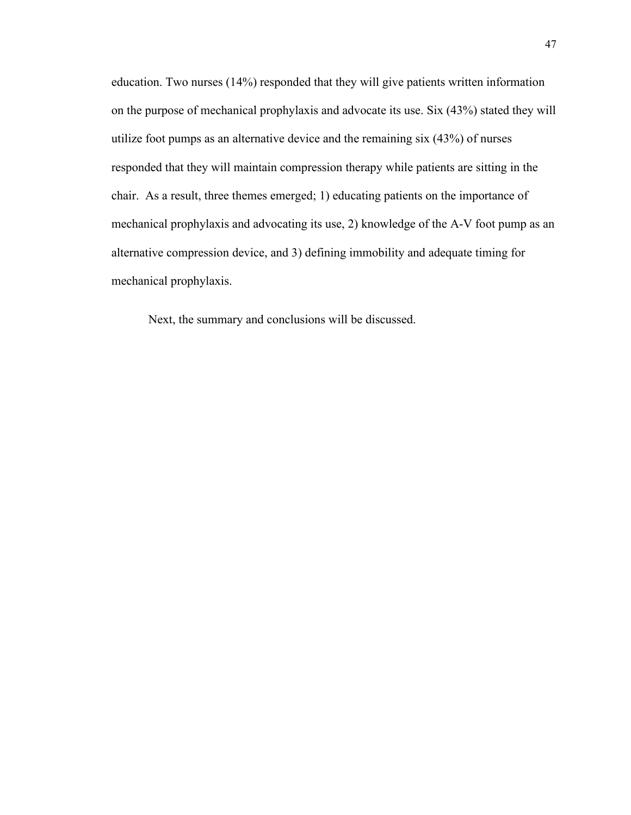education. Two nurses (14%) responded that they will give patients written information on the purpose of mechanical prophylaxis and advocate its use. Six (43%) stated they will utilize foot pumps as an alternative device and the remaining six (43%) of nurses responded that they will maintain compression therapy while patients are sitting in the chair. As a result, three themes emerged; 1) educating patients on the importance of mechanical prophylaxis and advocating its use, 2) knowledge of the A-V foot pump as an alternative compression device, and 3) defining immobility and adequate timing for mechanical prophylaxis.

Next, the summary and conclusions will be discussed.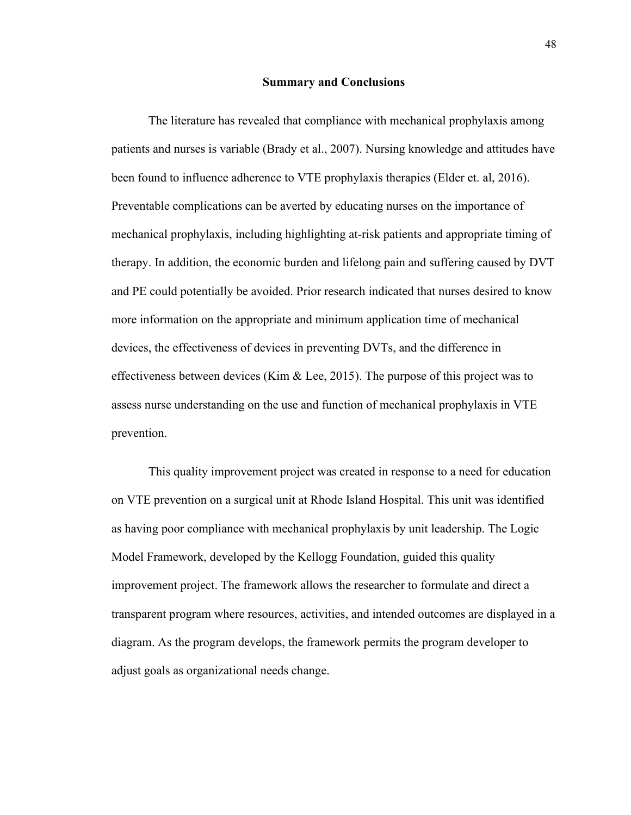#### **Summary and Conclusions**

The literature has revealed that compliance with mechanical prophylaxis among patients and nurses is variable (Brady et al., 2007). Nursing knowledge and attitudes have been found to influence adherence to VTE prophylaxis therapies (Elder et. al, 2016). Preventable complications can be averted by educating nurses on the importance of mechanical prophylaxis, including highlighting at-risk patients and appropriate timing of therapy. In addition, the economic burden and lifelong pain and suffering caused by DVT and PE could potentially be avoided. Prior research indicated that nurses desired to know more information on the appropriate and minimum application time of mechanical devices, the effectiveness of devices in preventing DVTs, and the difference in effectiveness between devices (Kim  $\&$  Lee, 2015). The purpose of this project was to assess nurse understanding on the use and function of mechanical prophylaxis in VTE prevention.

This quality improvement project was created in response to a need for education on VTE prevention on a surgical unit at Rhode Island Hospital. This unit was identified as having poor compliance with mechanical prophylaxis by unit leadership. The Logic Model Framework, developed by the Kellogg Foundation, guided this quality improvement project. The framework allows the researcher to formulate and direct a transparent program where resources, activities, and intended outcomes are displayed in a diagram. As the program develops, the framework permits the program developer to adjust goals as organizational needs change.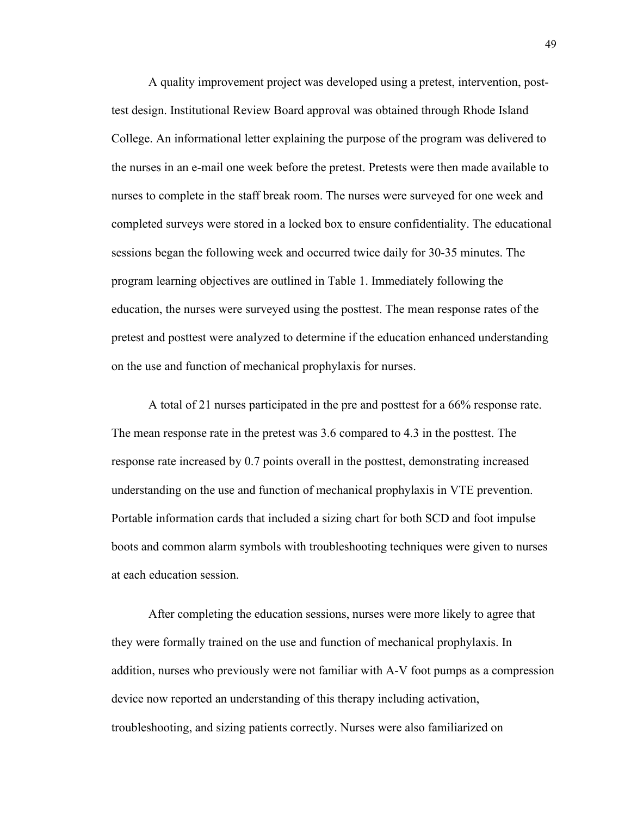A quality improvement project was developed using a pretest, intervention, posttest design. Institutional Review Board approval was obtained through Rhode Island College. An informational letter explaining the purpose of the program was delivered to the nurses in an e-mail one week before the pretest. Pretests were then made available to nurses to complete in the staff break room. The nurses were surveyed for one week and completed surveys were stored in a locked box to ensure confidentiality. The educational sessions began the following week and occurred twice daily for 30-35 minutes. The program learning objectives are outlined in Table 1. Immediately following the education, the nurses were surveyed using the posttest. The mean response rates of the pretest and posttest were analyzed to determine if the education enhanced understanding on the use and function of mechanical prophylaxis for nurses.

A total of 21 nurses participated in the pre and posttest for a 66% response rate. The mean response rate in the pretest was 3.6 compared to 4.3 in the posttest. The response rate increased by 0.7 points overall in the posttest, demonstrating increased understanding on the use and function of mechanical prophylaxis in VTE prevention. Portable information cards that included a sizing chart for both SCD and foot impulse boots and common alarm symbols with troubleshooting techniques were given to nurses at each education session.

After completing the education sessions, nurses were more likely to agree that they were formally trained on the use and function of mechanical prophylaxis. In addition, nurses who previously were not familiar with A-V foot pumps as a compression device now reported an understanding of this therapy including activation, troubleshooting, and sizing patients correctly. Nurses were also familiarized on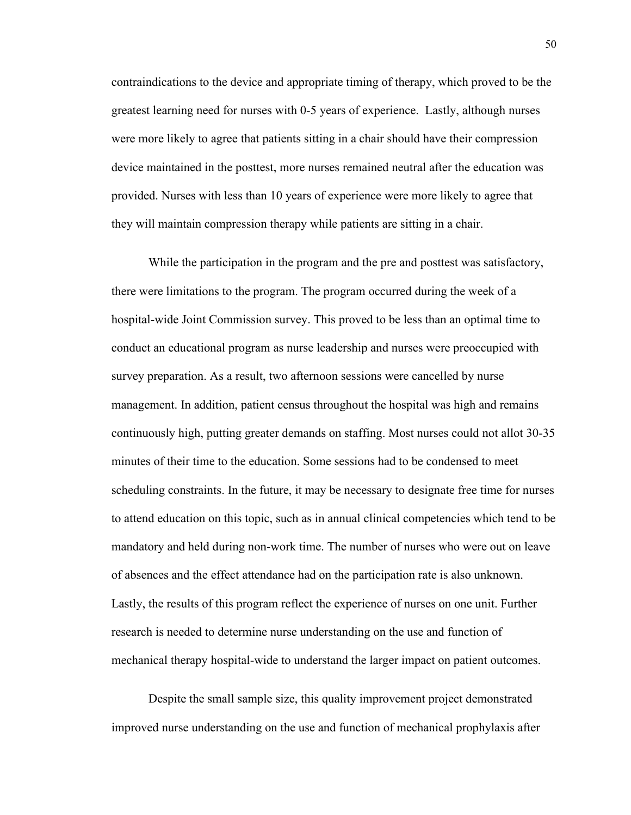contraindications to the device and appropriate timing of therapy, which proved to be the greatest learning need for nurses with 0-5 years of experience. Lastly, although nurses were more likely to agree that patients sitting in a chair should have their compression device maintained in the posttest, more nurses remained neutral after the education was provided. Nurses with less than 10 years of experience were more likely to agree that they will maintain compression therapy while patients are sitting in a chair.

While the participation in the program and the pre and posttest was satisfactory, there were limitations to the program. The program occurred during the week of a hospital-wide Joint Commission survey. This proved to be less than an optimal time to conduct an educational program as nurse leadership and nurses were preoccupied with survey preparation. As a result, two afternoon sessions were cancelled by nurse management. In addition, patient census throughout the hospital was high and remains continuously high, putting greater demands on staffing. Most nurses could not allot 30-35 minutes of their time to the education. Some sessions had to be condensed to meet scheduling constraints. In the future, it may be necessary to designate free time for nurses to attend education on this topic, such as in annual clinical competencies which tend to be mandatory and held during non-work time. The number of nurses who were out on leave of absences and the effect attendance had on the participation rate is also unknown. Lastly, the results of this program reflect the experience of nurses on one unit. Further research is needed to determine nurse understanding on the use and function of mechanical therapy hospital-wide to understand the larger impact on patient outcomes.

Despite the small sample size, this quality improvement project demonstrated improved nurse understanding on the use and function of mechanical prophylaxis after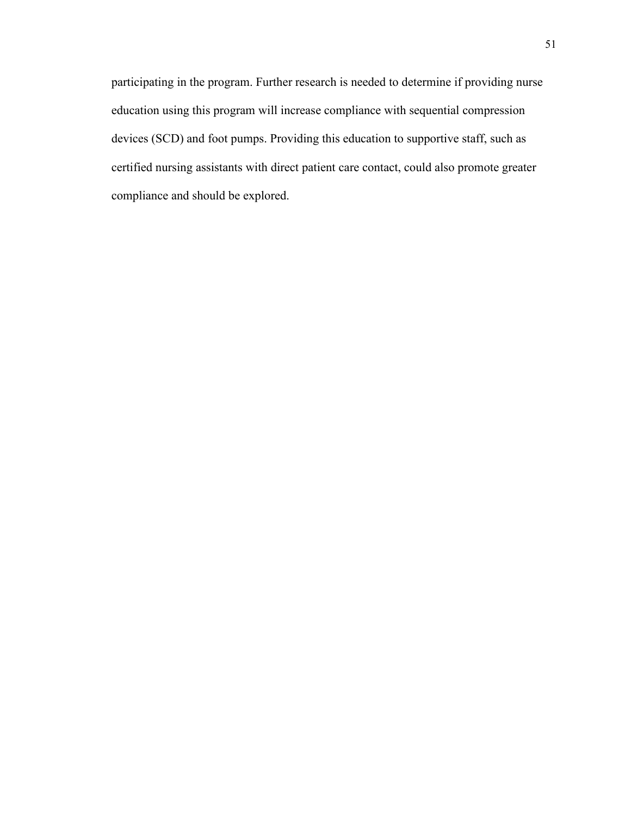participating in the program. Further research is needed to determine if providing nurse education using this program will increase compliance with sequential compression devices (SCD) and foot pumps. Providing this education to supportive staff, such as certified nursing assistants with direct patient care contact, could also promote greater compliance and should be explored.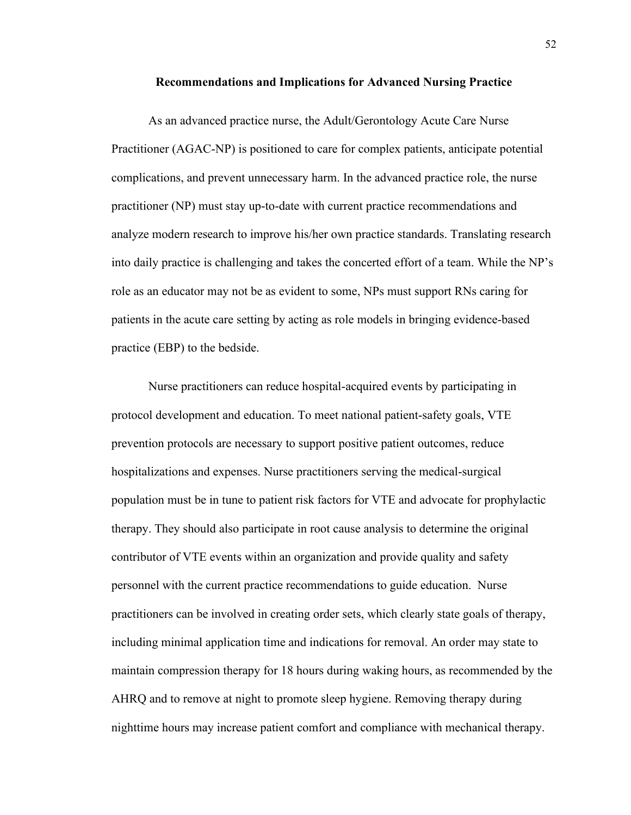#### **Recommendations and Implications for Advanced Nursing Practice**

As an advanced practice nurse, the Adult/Gerontology Acute Care Nurse Practitioner (AGAC-NP) is positioned to care for complex patients, anticipate potential complications, and prevent unnecessary harm. In the advanced practice role, the nurse practitioner (NP) must stay up-to-date with current practice recommendations and analyze modern research to improve his/her own practice standards. Translating research into daily practice is challenging and takes the concerted effort of a team. While the NP's role as an educator may not be as evident to some, NPs must support RNs caring for patients in the acute care setting by acting as role models in bringing evidence-based practice (EBP) to the bedside.

Nurse practitioners can reduce hospital-acquired events by participating in protocol development and education. To meet national patient-safety goals, VTE prevention protocols are necessary to support positive patient outcomes, reduce hospitalizations and expenses. Nurse practitioners serving the medical-surgical population must be in tune to patient risk factors for VTE and advocate for prophylactic therapy. They should also participate in root cause analysis to determine the original contributor of VTE events within an organization and provide quality and safety personnel with the current practice recommendations to guide education. Nurse practitioners can be involved in creating order sets, which clearly state goals of therapy, including minimal application time and indications for removal. An order may state to maintain compression therapy for 18 hours during waking hours, as recommended by the AHRQ and to remove at night to promote sleep hygiene. Removing therapy during nighttime hours may increase patient comfort and compliance with mechanical therapy.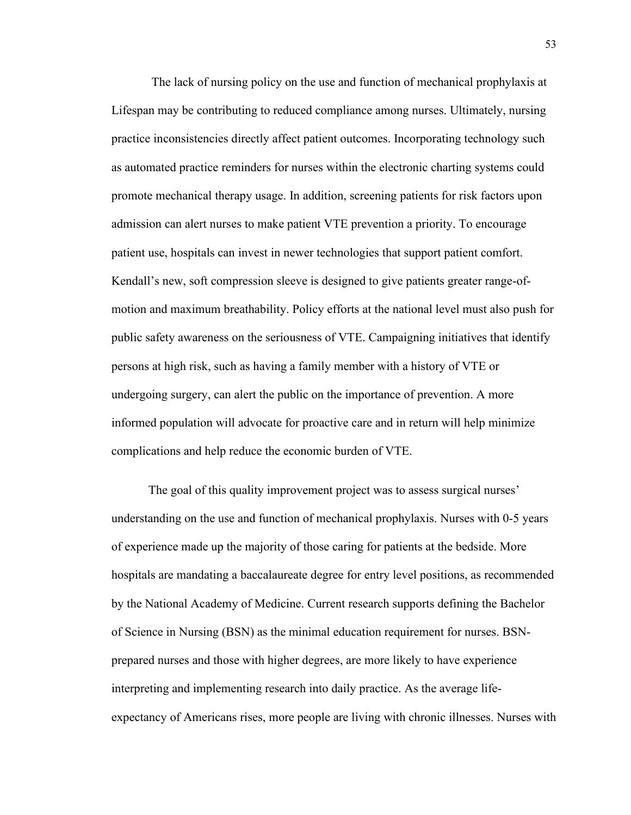The lack of nursing policy on the use and function of mechanical prophylaxis at Lifespan may be contributing to reduced compliance among nurses. Ultimately, nursing practice inconsistencies directly affect patient outcomes. Incorporating technology such as automated practice reminders for nurses within the electronic charting systems could promote mechanical therapy usage. In addition, screening patients for risk factors upon admission can alert nurses to make patient VTE prevention a priority. To encourage patient use, hospitals can invest in newer technologies that support patient comfort. Kendall's new, soft compression sleeve is designed to give patients greater range-ofmotion and maximum breathability. Policy efforts at the national level must also push for public safety awareness on the seriousness of VTE. Campaigning initiatives that identify persons at high risk, such as having a family member with a history of VTE or undergoing surgery, can alert the public on the importance of prevention. A more informed population will advocate for proactive care and in return will help minimize complications and help reduce the economic burden of VTE.

The goal of this quality improvement project was to assess surgical nurses' understanding on the use and function of mechanical prophylaxis. Nurses with 0-5 years of experience made up the majority of those caring for patients at the bedside. More hospitals are mandating a baccalaureate degree for entry level positions, as recommended by the National Academy of Medicine. Current research supports defining the Bachelor of Science in Nursing (BSN) as the minimal education requirement for nurses. BSNprepared nurses and those with higher degrees, are more likely to have experience interpreting and implementing research into daily practice. As the average lifeexpectancy of Americans rises, more people are living with chronic illnesses. Nurses with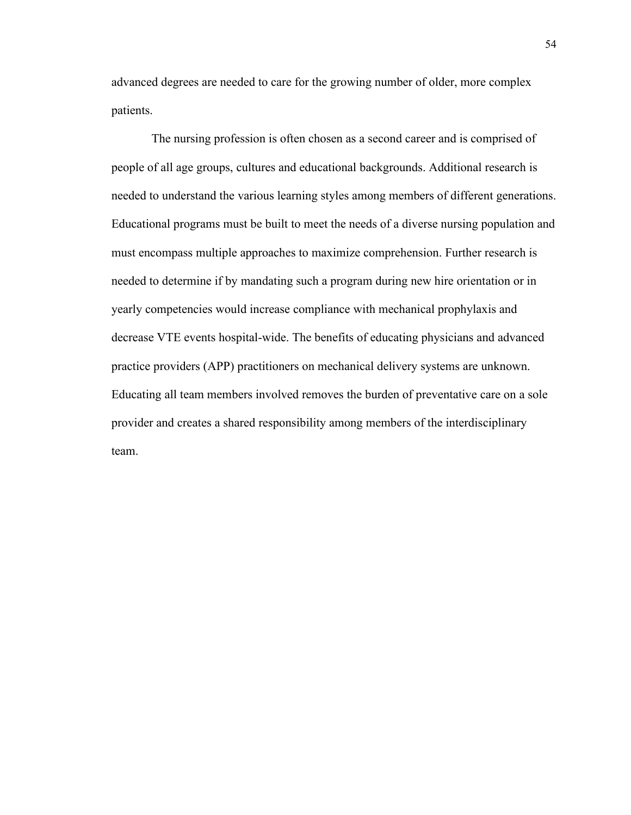advanced degrees are needed to care for the growing number of older, more complex patients.

 The nursing profession is often chosen as a second career and is comprised of people of all age groups, cultures and educational backgrounds. Additional research is needed to understand the various learning styles among members of different generations. Educational programs must be built to meet the needs of a diverse nursing population and must encompass multiple approaches to maximize comprehension. Further research is needed to determine if by mandating such a program during new hire orientation or in yearly competencies would increase compliance with mechanical prophylaxis and decrease VTE events hospital-wide. The benefits of educating physicians and advanced practice providers (APP) practitioners on mechanical delivery systems are unknown. Educating all team members involved removes the burden of preventative care on a sole provider and creates a shared responsibility among members of the interdisciplinary team.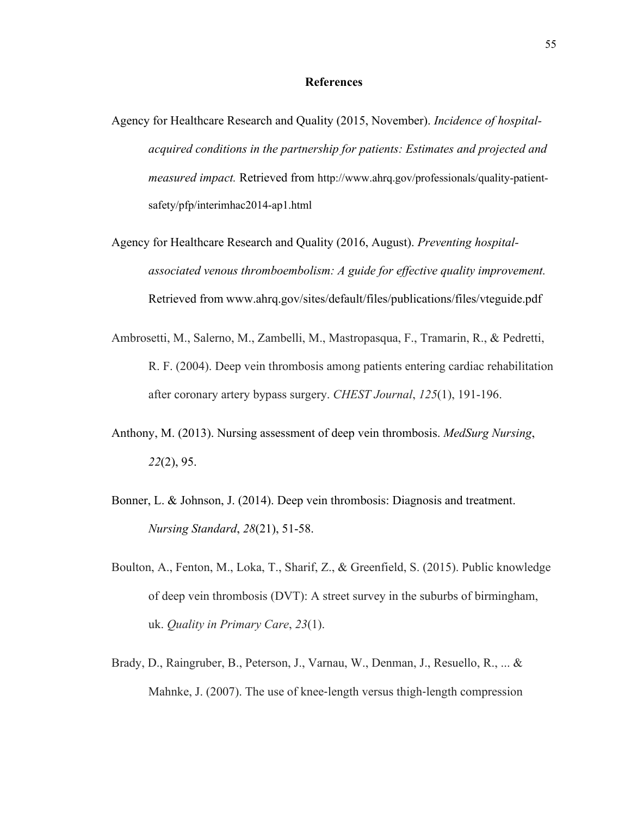#### **References**

- Agency for Healthcare Research and Quality (2015, November). *Incidence of hospitalacquired conditions in the partnership for patients: Estimates and projected and measured impact.* Retrieved from http://www.ahrq.gov/professionals/quality-patientsafety/pfp/interimhac2014-ap1.html
- Agency for Healthcare Research and Quality (2016, August). *Preventing hospitalassociated venous thromboembolism: A guide for effective quality improvement.*  Retrieved from www.ahrq.gov/sites/default/files/publications/files/vteguide.pdf
- Ambrosetti, M., Salerno, M., Zambelli, M., Mastropasqua, F., Tramarin, R., & Pedretti, R. F. (2004). Deep vein thrombosis among patients entering cardiac rehabilitation after coronary artery bypass surgery. *CHEST Journal*, *125*(1), 191-196.
- Anthony, M. (2013). Nursing assessment of deep vein thrombosis. *MedSurg Nursing*, *22*(2), 95.
- Bonner, L. & Johnson, J. (2014). Deep vein thrombosis: Diagnosis and treatment. *Nursing Standard*, *28*(21), 51-58.
- Boulton, A., Fenton, M., Loka, T., Sharif, Z., & Greenfield, S. (2015). Public knowledge of deep vein thrombosis (DVT): A street survey in the suburbs of birmingham, uk. *Quality in Primary Care*, *23*(1).
- Brady, D., Raingruber, B., Peterson, J., Varnau, W., Denman, J., Resuello, R., ... & Mahnke, J. (2007). The use of knee-length versus thigh-length compression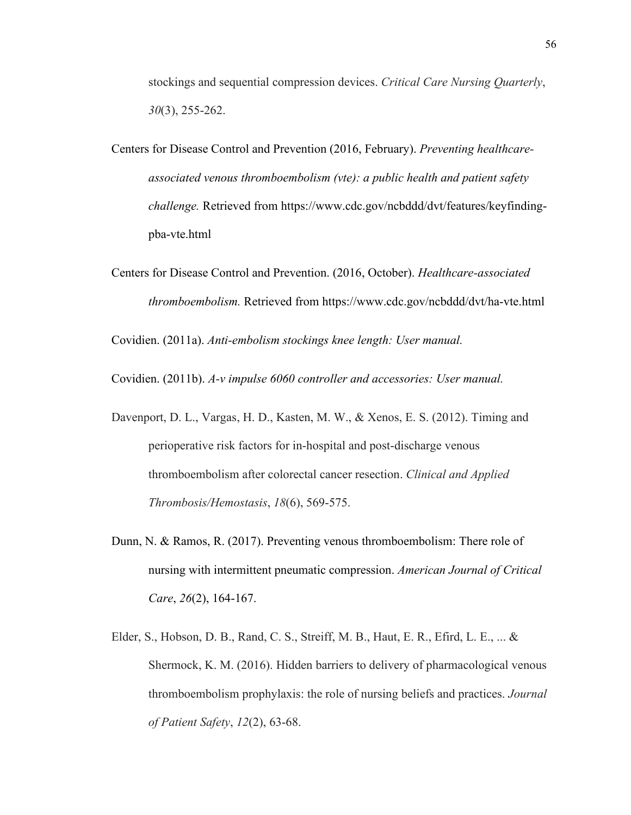stockings and sequential compression devices. *Critical Care Nursing Quarterly*, *30*(3), 255-262.

- Centers for Disease Control and Prevention (2016, February). *Preventing healthcareassociated venous thromboembolism (vte): a public health and patient safety challenge.* Retrieved from https://www.cdc.gov/ncbddd/dvt/features/keyfindingpba-vte.html
- Centers for Disease Control and Prevention. (2016, October). *Healthcare-associated thromboembolism.* Retrieved from https://www.cdc.gov/ncbddd/dvt/ha-vte.html

Covidien. (2011a). *Anti-embolism stockings knee length: User manual.*

Covidien. (2011b). *A-v impulse 6060 controller and accessories: User manual.*

- Davenport, D. L., Vargas, H. D., Kasten, M. W., & Xenos, E. S. (2012). Timing and perioperative risk factors for in-hospital and post-discharge venous thromboembolism after colorectal cancer resection. *Clinical and Applied Thrombosis/Hemostasis*, *18*(6), 569-575.
- Dunn, N. & Ramos, R. (2017). Preventing venous thromboembolism: There role of nursing with intermittent pneumatic compression. *American Journal of Critical Care*, *26*(2), 164-167.
- Elder, S., Hobson, D. B., Rand, C. S., Streiff, M. B., Haut, E. R., Efird, L. E., ... & Shermock, K. M. (2016). Hidden barriers to delivery of pharmacological venous thromboembolism prophylaxis: the role of nursing beliefs and practices. *Journal of Patient Safety*, *12*(2), 63-68.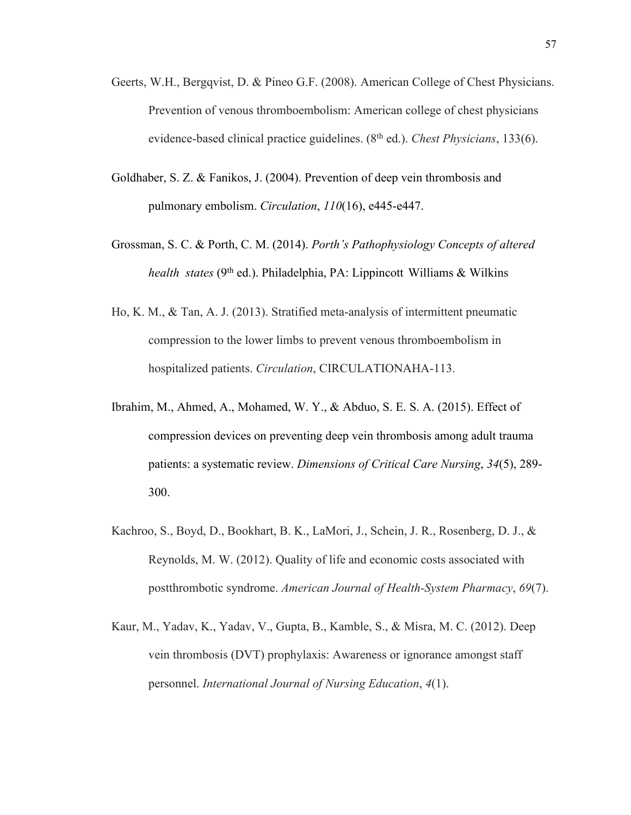- Geerts, W.H., Bergqvist, D. & Pineo G.F. (2008). American College of Chest Physicians. Prevention of venous thromboembolism: American college of chest physicians evidence-based clinical practice guidelines. (8th ed.). *Chest Physicians*, 133(6).
- Goldhaber, S. Z. & Fanikos, J. (2004). Prevention of deep vein thrombosis and pulmonary embolism. *Circulation*, *110*(16), e445-e447.
- Grossman, S. C. & Porth, C. M. (2014). *Porth's Pathophysiology Concepts of altered health states* (9<sup>th</sup> ed.). Philadelphia, PA: Lippincott Williams & Wilkins
- Ho, K. M., & Tan, A. J. (2013). Stratified meta-analysis of intermittent pneumatic compression to the lower limbs to prevent venous thromboembolism in hospitalized patients. *Circulation*, CIRCULATIONAHA-113.
- Ibrahim, M., Ahmed, A., Mohamed, W. Y., & Abduo, S. E. S. A. (2015). Effect of compression devices on preventing deep vein thrombosis among adult trauma patients: a systematic review. *Dimensions of Critical Care Nursing*, *34*(5), 289- 300.
- Kachroo, S., Boyd, D., Bookhart, B. K., LaMori, J., Schein, J. R., Rosenberg, D. J., & Reynolds, M. W. (2012). Quality of life and economic costs associated with postthrombotic syndrome. *American Journal of Health-System Pharmacy*, *69*(7).
- Kaur, M., Yadav, K., Yadav, V., Gupta, B., Kamble, S., & Misra, M. C. (2012). Deep vein thrombosis (DVT) prophylaxis: Awareness or ignorance amongst staff personnel. *International Journal of Nursing Education*, *4*(1).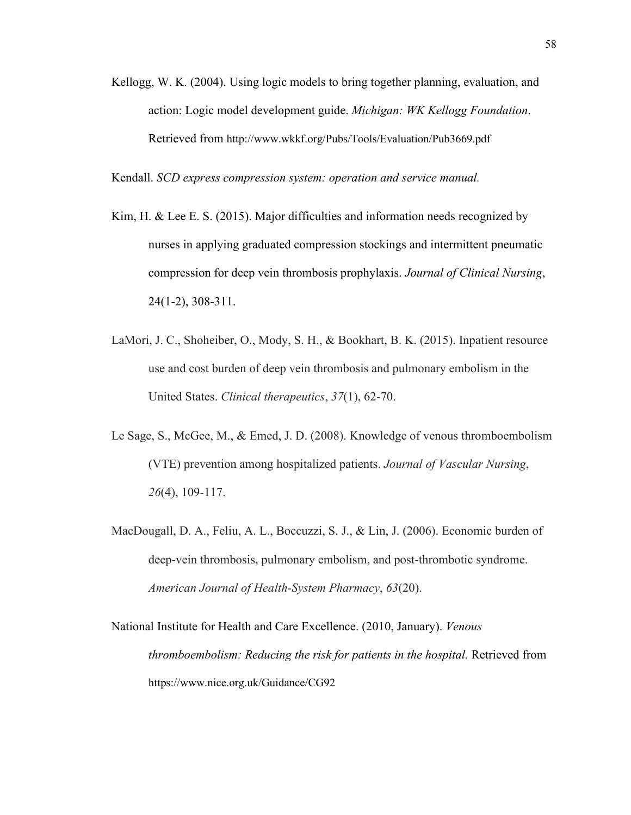Kellogg, W. K. (2004). Using logic models to bring together planning, evaluation, and action: Logic model development guide. *Michigan: WK Kellogg Foundation*. Retrieved from http://www.wkkf.org/Pubs/Tools/Evaluation/Pub3669.pdf

Kendall. *SCD express compression system: operation and service manual.*

- Kim, H. & Lee E. S. (2015). Major difficulties and information needs recognized by nurses in applying graduated compression stockings and intermittent pneumatic compression for deep vein thrombosis prophylaxis. *Journal of Clinical Nursing*, 24(1-2), 308-311.
- LaMori, J. C., Shoheiber, O., Mody, S. H., & Bookhart, B. K. (2015). Inpatient resource use and cost burden of deep vein thrombosis and pulmonary embolism in the United States. *Clinical therapeutics*, *37*(1), 62-70.
- Le Sage, S., McGee, M., & Emed, J. D. (2008). Knowledge of venous thromboembolism (VTE) prevention among hospitalized patients. *Journal of Vascular Nursing*, *26*(4), 109-117.
- MacDougall, D. A., Feliu, A. L., Boccuzzi, S. J., & Lin, J. (2006). Economic burden of deep-vein thrombosis, pulmonary embolism, and post-thrombotic syndrome. *American Journal of Health-System Pharmacy*, *63*(20).

National Institute for Health and Care Excellence. (2010, January). *Venous thromboembolism: Reducing the risk for patients in the hospital.* Retrieved from https://www.nice.org.uk/Guidance/CG92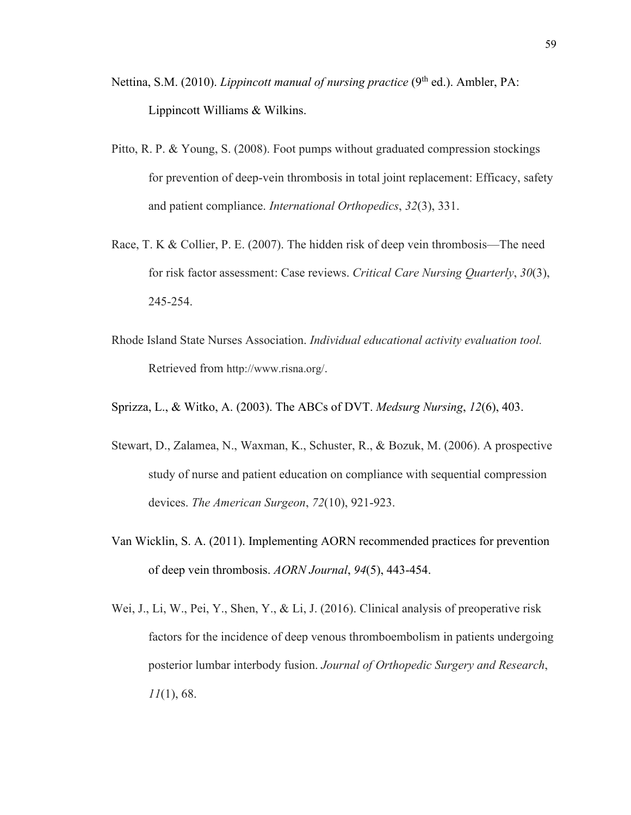- Nettina, S.M. (2010). *Lippincott manual of nursing practice* (9<sup>th</sup> ed.). Ambler, PA: Lippincott Williams & Wilkins.
- Pitto, R. P. & Young, S. (2008). Foot pumps without graduated compression stockings for prevention of deep-vein thrombosis in total joint replacement: Efficacy, safety and patient compliance. *International Orthopedics*, *32*(3), 331.
- Race, T. K & Collier, P. E. (2007). The hidden risk of deep vein thrombosis—The need for risk factor assessment: Case reviews. *Critical Care Nursing Quarterly*, *30*(3), 245-254.
- Rhode Island State Nurses Association. *Individual educational activity evaluation tool.* Retrieved from http://www.risna.org/.
- Sprizza, L., & Witko, A. (2003). The ABCs of DVT. *Medsurg Nursing*, *12*(6), 403.
- Stewart, D., Zalamea, N., Waxman, K., Schuster, R., & Bozuk, M. (2006). A prospective study of nurse and patient education on compliance with sequential compression devices. *The American Surgeon*, *72*(10), 921-923.
- Van Wicklin, S. A. (2011). Implementing AORN recommended practices for prevention of deep vein thrombosis. *AORN Journal*, *94*(5), 443-454.
- Wei, J., Li, W., Pei, Y., Shen, Y., & Li, J. (2016). Clinical analysis of preoperative risk factors for the incidence of deep venous thromboembolism in patients undergoing posterior lumbar interbody fusion. *Journal of Orthopedic Surgery and Research*, *11*(1), 68.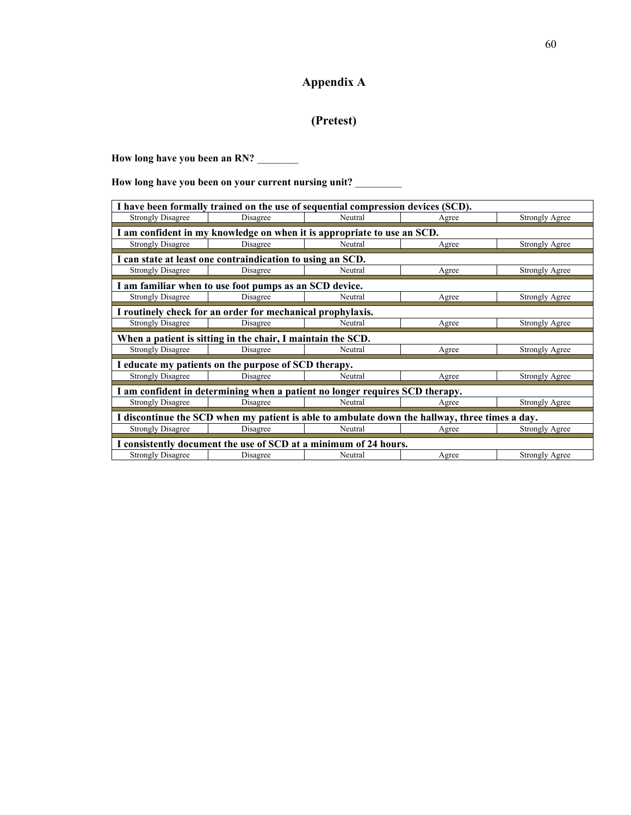## **Appendix A**

## **(Pretest)**

How long have you been an RN?

**How long have you been on your current nursing unit?** \_\_\_\_\_\_\_\_\_

| I have been formally trained on the use of sequential compression devices (SCD).               |                                                            |                                                                         |       |                       |  |
|------------------------------------------------------------------------------------------------|------------------------------------------------------------|-------------------------------------------------------------------------|-------|-----------------------|--|
| <b>Strongly Disagree</b>                                                                       | Disagree                                                   | Neutral                                                                 | Agree | <b>Strongly Agree</b> |  |
|                                                                                                |                                                            | I am confident in my knowledge on when it is appropriate to use an SCD. |       |                       |  |
| <b>Strongly Disagree</b>                                                                       | Disagree                                                   | Neutral                                                                 | Agree | <b>Strongly Agree</b> |  |
|                                                                                                | I can state at least one contraindication to using an SCD. |                                                                         |       |                       |  |
| <b>Strongly Disagree</b>                                                                       | Disagree                                                   | Neutral                                                                 | Agree | <b>Strongly Agree</b> |  |
|                                                                                                | I am familiar when to use foot pumps as an SCD device.     |                                                                         |       |                       |  |
| <b>Strongly Disagree</b>                                                                       | Disagree                                                   | Neutral                                                                 | Agree | <b>Strongly Agree</b> |  |
|                                                                                                | I routinely check for an order for mechanical prophylaxis. |                                                                         |       |                       |  |
| <b>Strongly Disagree</b>                                                                       | Disagree                                                   | Neutral                                                                 | Agree | <b>Strongly Agree</b> |  |
| When a patient is sitting in the chair, I maintain the SCD.                                    |                                                            |                                                                         |       |                       |  |
| <b>Strongly Disagree</b>                                                                       | Disagree                                                   | Neutral                                                                 | Agree | <b>Strongly Agree</b> |  |
| I educate my patients on the purpose of SCD therapy.                                           |                                                            |                                                                         |       |                       |  |
| <b>Strongly Disagree</b>                                                                       | Disagree                                                   | Neutral                                                                 | Agree | <b>Strongly Agree</b> |  |
| I am confident in determining when a patient no longer requires SCD therapy.                   |                                                            |                                                                         |       |                       |  |
| <b>Strongly Disagree</b>                                                                       | Disagree                                                   | Neutral                                                                 | Agree | <b>Strongly Agree</b> |  |
| I discontinue the SCD when my patient is able to ambulate down the hallway, three times a day. |                                                            |                                                                         |       |                       |  |
| <b>Strongly Disagree</b>                                                                       | Disagree                                                   | Neutral                                                                 | Agree | <b>Strongly Agree</b> |  |
| I consistently document the use of SCD at a minimum of 24 hours.                               |                                                            |                                                                         |       |                       |  |
| <b>Strongly Disagree</b>                                                                       | Disagree                                                   | Neutral                                                                 | Agree | <b>Strongly Agree</b> |  |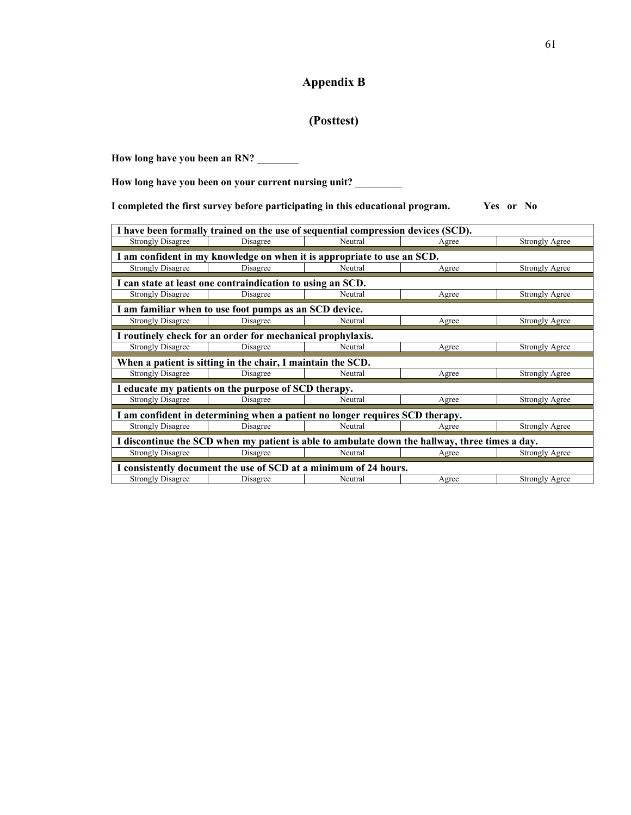### **Appendix B**

### **(Posttest)**

How long have you been an RN? \_\_\_\_\_\_\_\_

**How long have you been on your current nursing unit?** \_\_\_\_\_\_\_\_\_

**I completed the first survey before participating in this educational program. Yes or No**

| I have been formally trained on the use of sequential compression devices (SCD).               |                                                                         |         |       |                       |  |
|------------------------------------------------------------------------------------------------|-------------------------------------------------------------------------|---------|-------|-----------------------|--|
| <b>Strongly Disagree</b>                                                                       | Disagree                                                                | Neutral | Agree | <b>Strongly Agree</b> |  |
|                                                                                                | I am confident in my knowledge on when it is appropriate to use an SCD. |         |       |                       |  |
| <b>Strongly Disagree</b>                                                                       | Disagree                                                                | Neutral | Agree | Strongly Agree        |  |
|                                                                                                | I can state at least one contraindication to using an SCD.              |         |       |                       |  |
| <b>Strongly Disagree</b>                                                                       | Disagree                                                                | Neutral | Agree | <b>Strongly Agree</b> |  |
|                                                                                                | I am familiar when to use foot pumps as an SCD device.                  |         |       |                       |  |
| <b>Strongly Disagree</b>                                                                       | Disagree                                                                | Neutral | Agree | <b>Strongly Agree</b> |  |
| I routinely check for an order for mechanical prophylaxis.                                     |                                                                         |         |       |                       |  |
| <b>Strongly Disagree</b>                                                                       | Disagree                                                                | Neutral | Agree | <b>Strongly Agree</b> |  |
| When a patient is sitting in the chair, I maintain the SCD.                                    |                                                                         |         |       |                       |  |
| <b>Strongly Disagree</b>                                                                       | Disagree                                                                | Neutral | Agree | <b>Strongly Agree</b> |  |
| I educate my patients on the purpose of SCD therapy.                                           |                                                                         |         |       |                       |  |
| <b>Strongly Disagree</b>                                                                       | Disagree                                                                | Neutral | Agree | <b>Strongly Agree</b> |  |
| I am confident in determining when a patient no longer requires SCD therapy.                   |                                                                         |         |       |                       |  |
| <b>Strongly Disagree</b>                                                                       | Disagree                                                                | Neutral | Agree | <b>Strongly Agree</b> |  |
| I discontinue the SCD when my patient is able to ambulate down the hallway, three times a day. |                                                                         |         |       |                       |  |
| <b>Strongly Disagree</b>                                                                       | Disagree                                                                | Neutral | Agree | Strongly Agree        |  |
| I consistently document the use of SCD at a minimum of 24 hours.                               |                                                                         |         |       |                       |  |
| <b>Strongly Disagree</b>                                                                       | Disagree                                                                | Neutral | Agree | <b>Strongly Agree</b> |  |